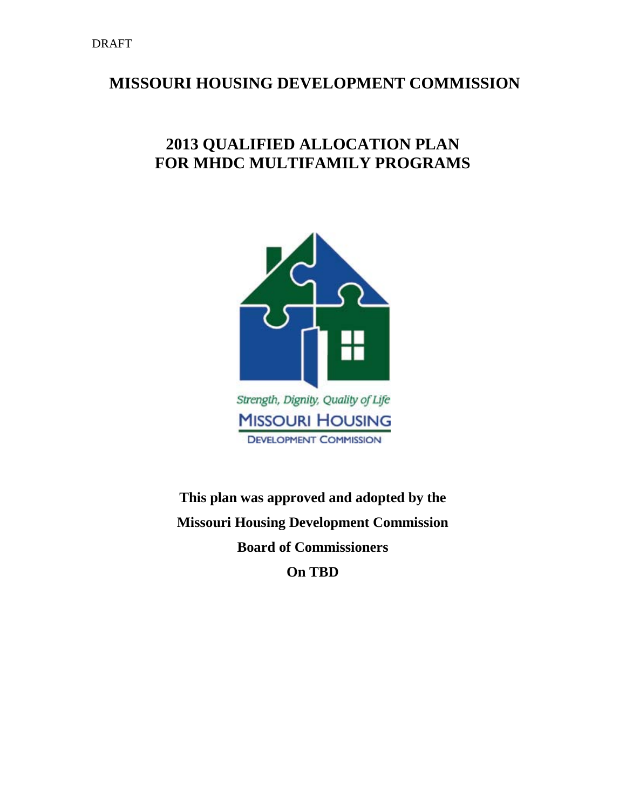# **MISSOURI HOUSING DEVELOPMENT COMMISSION**

# **2013 QUALIFIED ALLOCATION PLAN FOR MHDC MULTIFAMILY PROGRAMS**



**This plan was approved and adopted by the Missouri Housing Development Commission Board of Commissioners On TBD**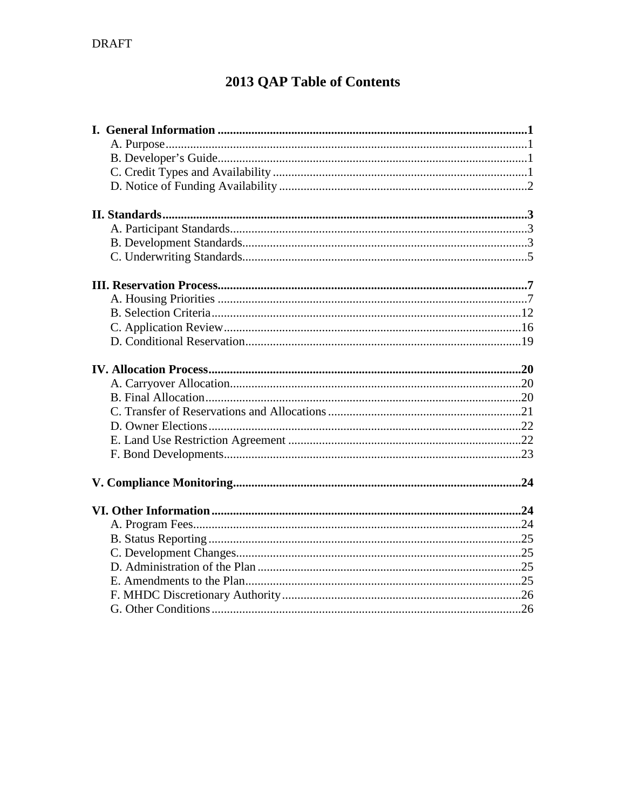# 2013 QAP Table of Contents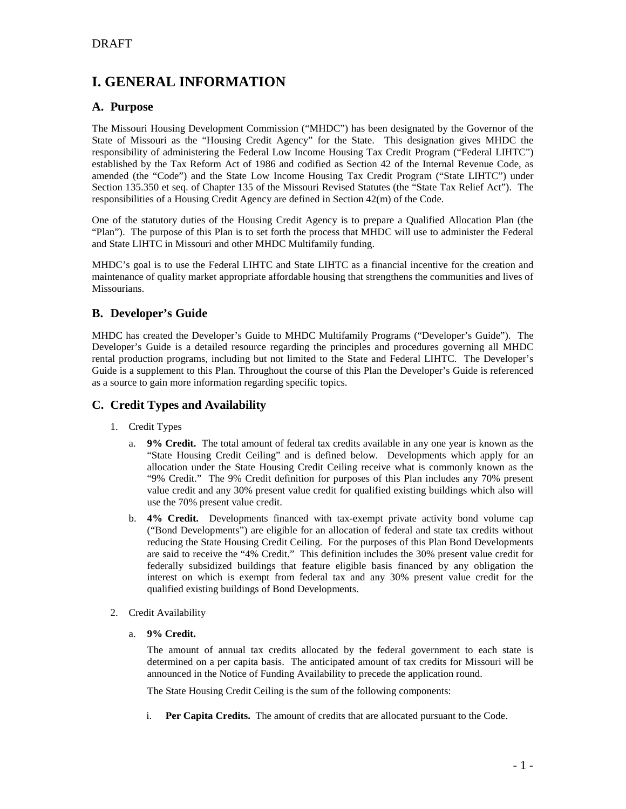## **I. GENERAL INFORMATION**

## **A. Purpose**

The Missouri Housing Development Commission ("MHDC") has been designated by the Governor of the State of Missouri as the "Housing Credit Agency" for the State. This designation gives MHDC the responsibility of administering the Federal Low Income Housing Tax Credit Program ("Federal LIHTC") established by the Tax Reform Act of 1986 and codified as Section 42 of the Internal Revenue Code, as amended (the "Code") and the State Low Income Housing Tax Credit Program ("State LIHTC") under Section 135.350 et seq. of Chapter 135 of the Missouri Revised Statutes (the "State Tax Relief Act"). The responsibilities of a Housing Credit Agency are defined in Section 42(m) of the Code.

One of the statutory duties of the Housing Credit Agency is to prepare a Qualified Allocation Plan (the "Plan"). The purpose of this Plan is to set forth the process that MHDC will use to administer the Federal and State LIHTC in Missouri and other MHDC Multifamily funding.

MHDC's goal is to use the Federal LIHTC and State LIHTC as a financial incentive for the creation and maintenance of quality market appropriate affordable housing that strengthens the communities and lives of Missourians.

## **B. Developer's Guide**

MHDC has created the Developer's Guide to MHDC Multifamily Programs ("Developer's Guide"). The Developer's Guide is a detailed resource regarding the principles and procedures governing all MHDC rental production programs, including but not limited to the State and Federal LIHTC. The Developer's Guide is a supplement to this Plan. Throughout the course of this Plan the Developer's Guide is referenced as a source to gain more information regarding specific topics.

## **C. Credit Types and Availability**

- 1. Credit Types
	- a. **9% Credit.** The total amount of federal tax credits available in any one year is known as the "State Housing Credit Ceiling" and is defined below. Developments which apply for an allocation under the State Housing Credit Ceiling receive what is commonly known as the "9% Credit." The 9% Credit definition for purposes of this Plan includes any 70% present value credit and any 30% present value credit for qualified existing buildings which also will use the 70% present value credit.
	- b. **4% Credit.** Developments financed with tax-exempt private activity bond volume cap ("Bond Developments") are eligible for an allocation of federal and state tax credits without reducing the State Housing Credit Ceiling. For the purposes of this Plan Bond Developments are said to receive the "4% Credit." This definition includes the 30% present value credit for federally subsidized buildings that feature eligible basis financed by any obligation the interest on which is exempt from federal tax and any 30% present value credit for the qualified existing buildings of Bond Developments.
- 2. Credit Availability
	- a. **9% Credit.**

The amount of annual tax credits allocated by the federal government to each state is determined on a per capita basis. The anticipated amount of tax credits for Missouri will be announced in the Notice of Funding Availability to precede the application round.

The State Housing Credit Ceiling is the sum of the following components:

i. **Per Capita Credits.** The amount of credits that are allocated pursuant to the Code.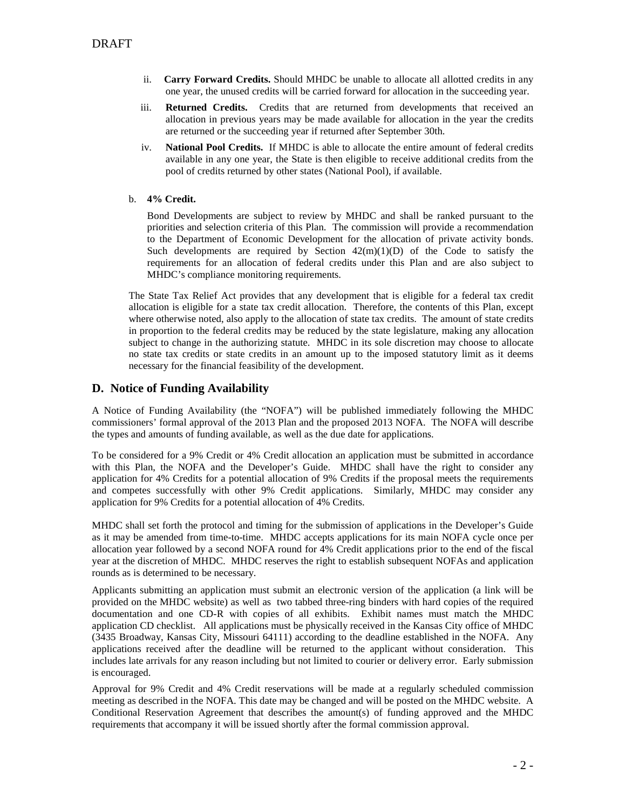- ii. **Carry Forward Credits.** Should MHDC be unable to allocate all allotted credits in any one year, the unused credits will be carried forward for allocation in the succeeding year.
- iii. **Returned Credits.** Credits that are returned from developments that received an allocation in previous years may be made available for allocation in the year the credits are returned or the succeeding year if returned after September 30th.
- iv. **National Pool Credits.** If MHDC is able to allocate the entire amount of federal credits available in any one year, the State is then eligible to receive additional credits from the pool of credits returned by other states (National Pool), if available.
- b. **4% Credit.**

Bond Developments are subject to review by MHDC and shall be ranked pursuant to the priorities and selection criteria of this Plan. The commission will provide a recommendation to the Department of Economic Development for the allocation of private activity bonds. Such developments are required by Section  $42(m)(1)(D)$  of the Code to satisfy the requirements for an allocation of federal credits under this Plan and are also subject to MHDC's compliance monitoring requirements.

The State Tax Relief Act provides that any development that is eligible for a federal tax credit allocation is eligible for a state tax credit allocation. Therefore, the contents of this Plan, except where otherwise noted, also apply to the allocation of state tax credits. The amount of state credits in proportion to the federal credits may be reduced by the state legislature, making any allocation subject to change in the authorizing statute. MHDC in its sole discretion may choose to allocate no state tax credits or state credits in an amount up to the imposed statutory limit as it deems necessary for the financial feasibility of the development.

## **D. Notice of Funding Availability**

A Notice of Funding Availability (the "NOFA") will be published immediately following the MHDC commissioners' formal approval of the 2013 Plan and the proposed 2013 NOFA. The NOFA will describe the types and amounts of funding available, as well as the due date for applications.

To be considered for a 9% Credit or 4% Credit allocation an application must be submitted in accordance with this Plan, the NOFA and the Developer's Guide. MHDC shall have the right to consider any application for 4% Credits for a potential allocation of 9% Credits if the proposal meets the requirements and competes successfully with other 9% Credit applications. Similarly, MHDC may consider any application for 9% Credits for a potential allocation of 4% Credits.

MHDC shall set forth the protocol and timing for the submission of applications in the Developer's Guide as it may be amended from time-to-time. MHDC accepts applications for its main NOFA cycle once per allocation year followed by a second NOFA round for 4% Credit applications prior to the end of the fiscal year at the discretion of MHDC. MHDC reserves the right to establish subsequent NOFAs and application rounds as is determined to be necessary.

Applicants submitting an application must submit an electronic version of the application (a link will be provided on the MHDC website) as well as two tabbed three-ring binders with hard copies of the required documentation and one CD-R with copies of all exhibits. Exhibit names must match the MHDC application CD checklist. All applications must be physically received in the Kansas City office of MHDC (3435 Broadway, Kansas City, Missouri 64111) according to the deadline established in the NOFA. Any applications received after the deadline will be returned to the applicant without consideration. This includes late arrivals for any reason including but not limited to courier or delivery error. Early submission is encouraged.

Approval for 9% Credit and 4% Credit reservations will be made at a regularly scheduled commission meeting as described in the NOFA. This date may be changed and will be posted on the MHDC website. A Conditional Reservation Agreement that describes the amount(s) of funding approved and the MHDC requirements that accompany it will be issued shortly after the formal commission approval.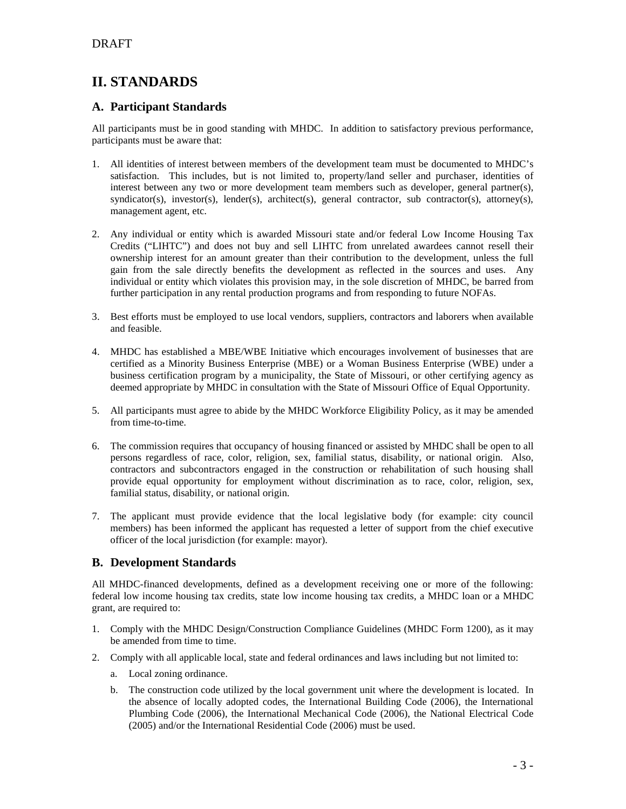## **II. STANDARDS**

## **A. Participant Standards**

All participants must be in good standing with MHDC. In addition to satisfactory previous performance, participants must be aware that:

- 1. All identities of interest between members of the development team must be documented to MHDC's satisfaction. This includes, but is not limited to, property/land seller and purchaser, identities of interest between any two or more development team members such as developer, general partner(s), syndicator(s), investor(s), lender(s), architect(s), general contractor, sub contractor(s), attorney(s), management agent, etc.
- 2. Any individual or entity which is awarded Missouri state and/or federal Low Income Housing Tax Credits ("LIHTC") and does not buy and sell LIHTC from unrelated awardees cannot resell their ownership interest for an amount greater than their contribution to the development, unless the full gain from the sale directly benefits the development as reflected in the sources and uses. Any individual or entity which violates this provision may, in the sole discretion of MHDC, be barred from further participation in any rental production programs and from responding to future NOFAs.
- 3. Best efforts must be employed to use local vendors, suppliers, contractors and laborers when available and feasible.
- 4. MHDC has established a MBE/WBE Initiative which encourages involvement of businesses that are certified as a Minority Business Enterprise (MBE) or a Woman Business Enterprise (WBE) under a business certification program by a municipality, the State of Missouri, or other certifying agency as deemed appropriate by MHDC in consultation with the State of Missouri Office of Equal Opportunity.
- 5. All participants must agree to abide by the MHDC Workforce Eligibility Policy, as it may be amended from time-to-time.
- 6. The commission requires that occupancy of housing financed or assisted by MHDC shall be open to all persons regardless of race, color, religion, sex, familial status, disability, or national origin. Also, contractors and subcontractors engaged in the construction or rehabilitation of such housing shall provide equal opportunity for employment without discrimination as to race, color, religion, sex, familial status, disability, or national origin.
- 7. The applicant must provide evidence that the local legislative body (for example: city council members) has been informed the applicant has requested a letter of support from the chief executive officer of the local jurisdiction (for example: mayor).

## **B. Development Standards**

All MHDC-financed developments, defined as a development receiving one or more of the following: federal low income housing tax credits, state low income housing tax credits, a MHDC loan or a MHDC grant, are required to:

- 1. Comply with the MHDC Design/Construction Compliance Guidelines (MHDC Form 1200), as it may be amended from time to time.
- 2. Comply with all applicable local, state and federal ordinances and laws including but not limited to:
	- a. Local zoning ordinance.
	- b. The construction code utilized by the local government unit where the development is located. In the absence of locally adopted codes, the International Building Code (2006), the International Plumbing Code (2006), the International Mechanical Code (2006), the National Electrical Code (2005) and/or the International Residential Code (2006) must be used.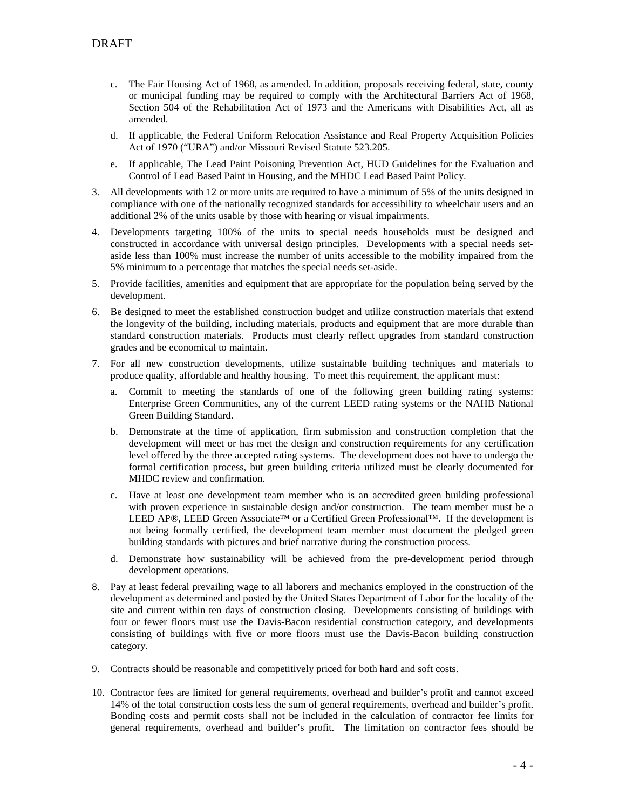- c. The Fair Housing Act of 1968, as amended. In addition, proposals receiving federal, state, county or municipal funding may be required to comply with the Architectural Barriers Act of 1968, Section 504 of the Rehabilitation Act of 1973 and the Americans with Disabilities Act, all as amended.
- d. If applicable, the Federal Uniform Relocation Assistance and Real Property Acquisition Policies Act of 1970 ("URA") and/or Missouri Revised Statute 523.205.
- e. If applicable, The Lead Paint Poisoning Prevention Act, HUD Guidelines for the Evaluation and Control of Lead Based Paint in Housing, and the MHDC Lead Based Paint Policy.
- 3. All developments with 12 or more units are required to have a minimum of 5% of the units designed in compliance with one of the nationally recognized standards for accessibility to wheelchair users and an additional 2% of the units usable by those with hearing or visual impairments.
- 4. Developments targeting 100% of the units to special needs households must be designed and constructed in accordance with universal design principles. Developments with a special needs setaside less than 100% must increase the number of units accessible to the mobility impaired from the 5% minimum to a percentage that matches the special needs set-aside.
- 5. Provide facilities, amenities and equipment that are appropriate for the population being served by the development.
- 6. Be designed to meet the established construction budget and utilize construction materials that extend the longevity of the building, including materials, products and equipment that are more durable than standard construction materials. Products must clearly reflect upgrades from standard construction grades and be economical to maintain.
- 7. For all new construction developments, utilize sustainable building techniques and materials to produce quality, affordable and healthy housing. To meet this requirement, the applicant must:
	- a. Commit to meeting the standards of one of the following green building rating systems: Enterprise Green Communities, any of the current LEED rating systems or the NAHB National Green Building Standard.
	- b. Demonstrate at the time of application, firm submission and construction completion that the development will meet or has met the design and construction requirements for any certification level offered by the three accepted rating systems. The development does not have to undergo the formal certification process, but green building criteria utilized must be clearly documented for MHDC review and confirmation.
	- c. Have at least one development team member who is an accredited green building professional with proven experience in sustainable design and/or construction. The team member must be a LEED AP®, LEED Green Associate™ or a Certified Green Professional™. If the development is not being formally certified, the development team member must document the pledged green building standards with pictures and brief narrative during the construction process.
	- d. Demonstrate how sustainability will be achieved from the pre-development period through development operations.
- 8. Pay at least federal prevailing wage to all laborers and mechanics employed in the construction of the development as determined and posted by the United States Department of Labor for the locality of the site and current within ten days of construction closing. Developments consisting of buildings with four or fewer floors must use the Davis-Bacon residential construction category, and developments consisting of buildings with five or more floors must use the Davis-Bacon building construction category.
- 9. Contracts should be reasonable and competitively priced for both hard and soft costs.
- 10. Contractor fees are limited for general requirements, overhead and builder's profit and cannot exceed 14% of the total construction costs less the sum of general requirements, overhead and builder's profit. Bonding costs and permit costs shall not be included in the calculation of contractor fee limits for general requirements, overhead and builder's profit. The limitation on contractor fees should be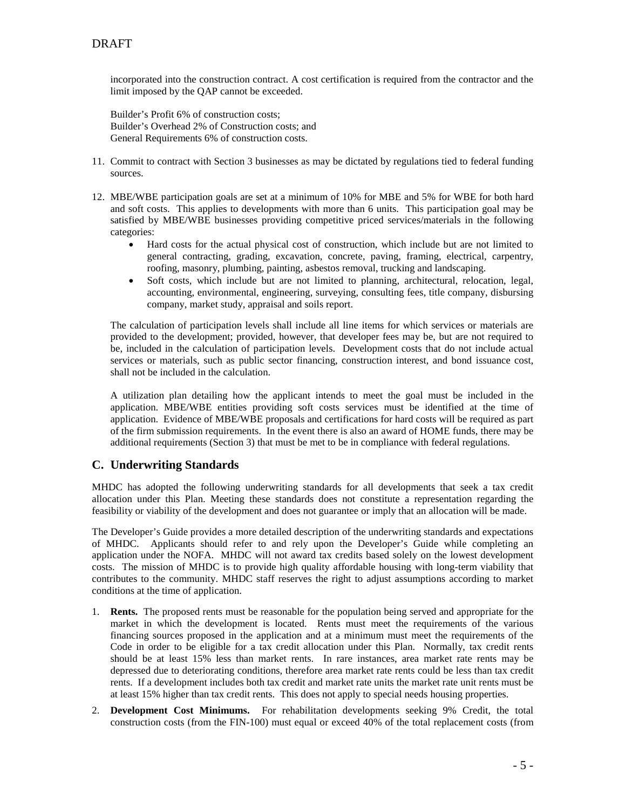incorporated into the construction contract. A cost certification is required from the contractor and the limit imposed by the QAP cannot be exceeded.

Builder's Profit 6% of construction costs; Builder's Overhead 2% of Construction costs; and General Requirements 6% of construction costs.

- 11. Commit to contract with Section 3 businesses as may be dictated by regulations tied to federal funding sources.
- 12. MBE/WBE participation goals are set at a minimum of 10% for MBE and 5% for WBE for both hard and soft costs. This applies to developments with more than 6 units. This participation goal may be satisfied by MBE/WBE businesses providing competitive priced services/materials in the following categories:
	- Hard costs for the actual physical cost of construction, which include but are not limited to general contracting, grading, excavation, concrete, paving, framing, electrical, carpentry, roofing, masonry, plumbing, painting, asbestos removal, trucking and landscaping.
	- Soft costs, which include but are not limited to planning, architectural, relocation, legal, accounting, environmental, engineering, surveying, consulting fees, title company, disbursing company, market study, appraisal and soils report.

The calculation of participation levels shall include all line items for which services or materials are provided to the development; provided, however, that developer fees may be, but are not required to be, included in the calculation of participation levels. Development costs that do not include actual services or materials, such as public sector financing, construction interest, and bond issuance cost, shall not be included in the calculation.

A utilization plan detailing how the applicant intends to meet the goal must be included in the application. MBE/WBE entities providing soft costs services must be identified at the time of application. Evidence of MBE/WBE proposals and certifications for hard costs will be required as part of the firm submission requirements. In the event there is also an award of HOME funds, there may be additional requirements (Section 3) that must be met to be in compliance with federal regulations.

## **C. Underwriting Standards**

MHDC has adopted the following underwriting standards for all developments that seek a tax credit allocation under this Plan. Meeting these standards does not constitute a representation regarding the feasibility or viability of the development and does not guarantee or imply that an allocation will be made.

The Developer's Guide provides a more detailed description of the underwriting standards and expectations of MHDC. Applicants should refer to and rely upon the Developer's Guide while completing an application under the NOFA. MHDC will not award tax credits based solely on the lowest development costs. The mission of MHDC is to provide high quality affordable housing with long-term viability that contributes to the community. MHDC staff reserves the right to adjust assumptions according to market conditions at the time of application.

- 1. **Rents.** The proposed rents must be reasonable for the population being served and appropriate for the market in which the development is located. Rents must meet the requirements of the various financing sources proposed in the application and at a minimum must meet the requirements of the Code in order to be eligible for a tax credit allocation under this Plan. Normally, tax credit rents should be at least 15% less than market rents. In rare instances, area market rate rents may be depressed due to deteriorating conditions, therefore area market rate rents could be less than tax credit rents. If a development includes both tax credit and market rate units the market rate unit rents must be at least 15% higher than tax credit rents. This does not apply to special needs housing properties.
- 2. **Development Cost Minimums.** For rehabilitation developments seeking 9% Credit, the total construction costs (from the FIN-100) must equal or exceed 40% of the total replacement costs (from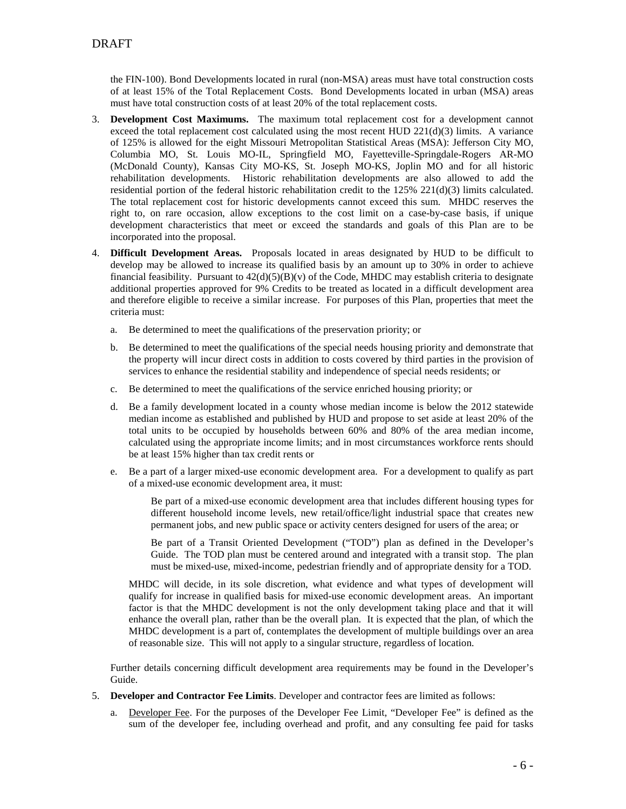the FIN-100). Bond Developments located in rural (non-MSA) areas must have total construction costs of at least 15% of the Total Replacement Costs. Bond Developments located in urban (MSA) areas must have total construction costs of at least 20% of the total replacement costs.

- 3. **Development Cost Maximums.** The maximum total replacement cost for a development cannot exceed the total replacement cost calculated using the most recent HUD  $221(d)(3)$  limits. A variance of 125% is allowed for the eight Missouri Metropolitan Statistical Areas (MSA): Jefferson City MO, Columbia MO, St. Louis MO-IL, Springfield MO, Fayetteville-Springdale-Rogers AR-MO (McDonald County), Kansas City MO-KS, St. Joseph MO-KS, Joplin MO and for all historic rehabilitation developments. Historic rehabilitation developments are also allowed to add the residential portion of the federal historic rehabilitation credit to the 125% 221(d)(3) limits calculated. The total replacement cost for historic developments cannot exceed this sum. MHDC reserves the right to, on rare occasion, allow exceptions to the cost limit on a case-by-case basis, if unique development characteristics that meet or exceed the standards and goals of this Plan are to be incorporated into the proposal.
- 4. **Difficult Development Areas.** Proposals located in areas designated by HUD to be difficult to develop may be allowed to increase its qualified basis by an amount up to 30% in order to achieve financial feasibility. Pursuant to  $42(d)(5)(B)(v)$  of the Code, MHDC may establish criteria to designate additional properties approved for 9% Credits to be treated as located in a difficult development area and therefore eligible to receive a similar increase. For purposes of this Plan, properties that meet the criteria must:
	- a. Be determined to meet the qualifications of the preservation priority; or
	- b. Be determined to meet the qualifications of the special needs housing priority and demonstrate that the property will incur direct costs in addition to costs covered by third parties in the provision of services to enhance the residential stability and independence of special needs residents; or
	- c. Be determined to meet the qualifications of the service enriched housing priority; or
	- d. Be a family development located in a county whose median income is below the 2012 statewide median income as established and published by HUD and propose to set aside at least 20% of the total units to be occupied by households between 60% and 80% of the area median income, calculated using the appropriate income limits; and in most circumstances workforce rents should be at least 15% higher than tax credit rents or
	- e. Be a part of a larger mixed-use economic development area. For a development to qualify as part of a mixed-use economic development area, it must:

Be part of a mixed-use economic development area that includes different housing types for different household income levels, new retail/office/light industrial space that creates new permanent jobs, and new public space or activity centers designed for users of the area; or

Be part of a Transit Oriented Development ("TOD") plan as defined in the Developer's Guide. The TOD plan must be centered around and integrated with a transit stop. The plan must be mixed-use, mixed-income, pedestrian friendly and of appropriate density for a TOD.

MHDC will decide, in its sole discretion, what evidence and what types of development will qualify for increase in qualified basis for mixed-use economic development areas. An important factor is that the MHDC development is not the only development taking place and that it will enhance the overall plan, rather than be the overall plan. It is expected that the plan, of which the MHDC development is a part of, contemplates the development of multiple buildings over an area of reasonable size. This will not apply to a singular structure, regardless of location.

Further details concerning difficult development area requirements may be found in the Developer's Guide.

- 5. **Developer and Contractor Fee Limits**. Developer and contractor fees are limited as follows:
	- a. Developer Fee. For the purposes of the Developer Fee Limit, "Developer Fee" is defined as the sum of the developer fee, including overhead and profit, and any consulting fee paid for tasks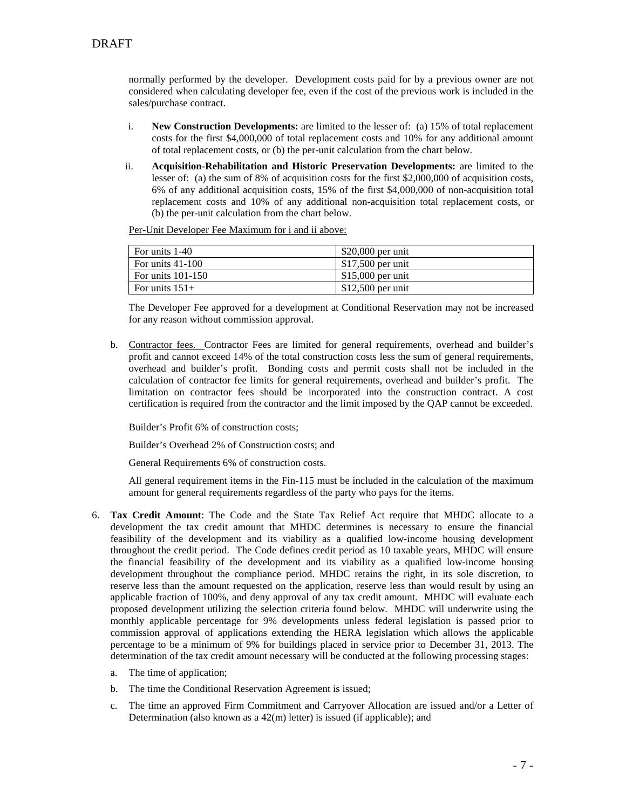normally performed by the developer. Development costs paid for by a previous owner are not considered when calculating developer fee, even if the cost of the previous work is included in the sales/purchase contract.

- i. **New Construction Developments:** are limited to the lesser of: (a) 15% of total replacement costs for the first \$4,000,000 of total replacement costs and 10% for any additional amount of total replacement costs, or (b) the per-unit calculation from the chart below.
- ii. **Acquisition-Rehabilitation and Historic Preservation Developments:** are limited to the lesser of: (a) the sum of 8% of acquisition costs for the first \$2,000,000 of acquisition costs, 6% of any additional acquisition costs, 15% of the first \$4,000,000 of non-acquisition total replacement costs and 10% of any additional non-acquisition total replacement costs, or (b) the per-unit calculation from the chart below.

Per-Unit Developer Fee Maximum for i and ii above:

| For units 1-40      | $$20,000$ per unit |
|---------------------|--------------------|
| For units $41-100$  | $$17,500$ per unit |
| For units $101-150$ | $$15,000$ per unit |
| For units $151+$    | $$12,500$ per unit |

The Developer Fee approved for a development at Conditional Reservation may not be increased for any reason without commission approval.

b. Contractor fees. Contractor Fees are limited for general requirements, overhead and builder's profit and cannot exceed 14% of the total construction costs less the sum of general requirements, overhead and builder's profit. Bonding costs and permit costs shall not be included in the calculation of contractor fee limits for general requirements, overhead and builder's profit. The limitation on contractor fees should be incorporated into the construction contract. A cost certification is required from the contractor and the limit imposed by the QAP cannot be exceeded.

Builder's Profit 6% of construction costs;

Builder's Overhead 2% of Construction costs; and

General Requirements 6% of construction costs.

All general requirement items in the Fin-115 must be included in the calculation of the maximum amount for general requirements regardless of the party who pays for the items.

- 6. **Tax Credit Amount**: The Code and the State Tax Relief Act require that MHDC allocate to a development the tax credit amount that MHDC determines is necessary to ensure the financial feasibility of the development and its viability as a qualified low-income housing development throughout the credit period. The Code defines credit period as 10 taxable years, MHDC will ensure the financial feasibility of the development and its viability as a qualified low-income housing development throughout the compliance period. MHDC retains the right, in its sole discretion, to reserve less than the amount requested on the application, reserve less than would result by using an applicable fraction of 100%, and deny approval of any tax credit amount. MHDC will evaluate each proposed development utilizing the selection criteria found below. MHDC will underwrite using the monthly applicable percentage for 9% developments unless federal legislation is passed prior to commission approval of applications extending the HERA legislation which allows the applicable percentage to be a minimum of 9% for buildings placed in service prior to December 31, 2013. The determination of the tax credit amount necessary will be conducted at the following processing stages:
	- a. The time of application;
	- b. The time the Conditional Reservation Agreement is issued;
	- c. The time an approved Firm Commitment and Carryover Allocation are issued and/or a Letter of Determination (also known as a 42(m) letter) is issued (if applicable); and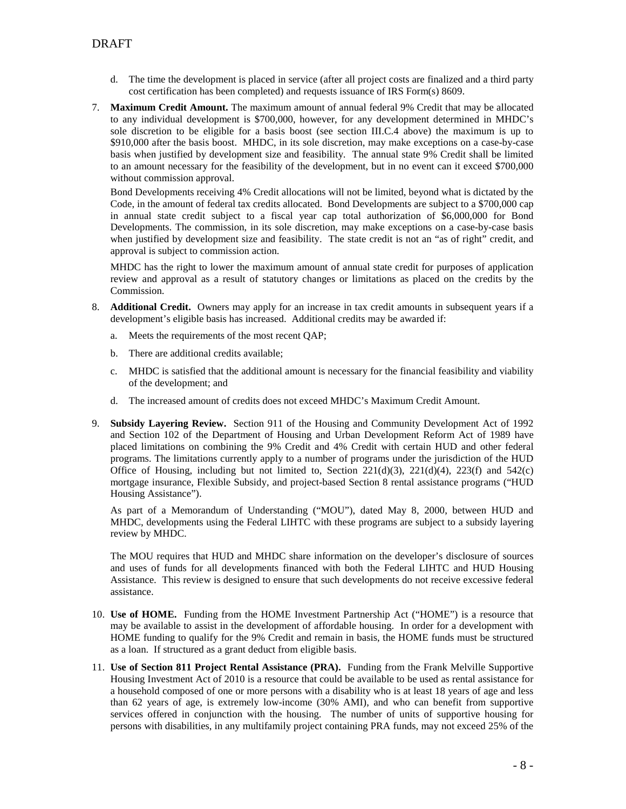- d. The time the development is placed in service (after all project costs are finalized and a third party cost certification has been completed) and requests issuance of IRS Form(s) 8609.
- 7. **Maximum Credit Amount.** The maximum amount of annual federal 9% Credit that may be allocated to any individual development is \$700,000, however, for any development determined in MHDC's sole discretion to be eligible for a basis boost (see section III.C.4 above) the maximum is up to \$910,000 after the basis boost. MHDC, in its sole discretion, may make exceptions on a case-by-case basis when justified by development size and feasibility. The annual state 9% Credit shall be limited to an amount necessary for the feasibility of the development, but in no event can it exceed \$700,000 without commission approval.

Bond Developments receiving 4% Credit allocations will not be limited, beyond what is dictated by the Code, in the amount of federal tax credits allocated. Bond Developments are subject to a \$700,000 cap in annual state credit subject to a fiscal year cap total authorization of \$6,000,000 for Bond Developments. The commission, in its sole discretion, may make exceptions on a case-by-case basis when justified by development size and feasibility. The state credit is not an "as of right" credit, and approval is subject to commission action.

MHDC has the right to lower the maximum amount of annual state credit for purposes of application review and approval as a result of statutory changes or limitations as placed on the credits by the Commission.

- 8. **Additional Credit.** Owners may apply for an increase in tax credit amounts in subsequent years if a development's eligible basis has increased. Additional credits may be awarded if:
	- a. Meets the requirements of the most recent QAP;
	- b. There are additional credits available;
	- c. MHDC is satisfied that the additional amount is necessary for the financial feasibility and viability of the development; and
	- d. The increased amount of credits does not exceed MHDC's Maximum Credit Amount.
- 9. **Subsidy Layering Review.** Section 911 of the Housing and Community Development Act of 1992 and Section 102 of the Department of Housing and Urban Development Reform Act of 1989 have placed limitations on combining the 9% Credit and 4% Credit with certain HUD and other federal programs. The limitations currently apply to a number of programs under the jurisdiction of the HUD Office of Housing, including but not limited to, Section  $221(d)(3)$ ,  $221(d)(4)$ ,  $223(f)$  and  $542(c)$ mortgage insurance, Flexible Subsidy, and project-based Section 8 rental assistance programs ("HUD Housing Assistance").

As part of a Memorandum of Understanding ("MOU"), dated May 8, 2000, between HUD and MHDC, developments using the Federal LIHTC with these programs are subject to a subsidy layering review by MHDC.

The MOU requires that HUD and MHDC share information on the developer's disclosure of sources and uses of funds for all developments financed with both the Federal LIHTC and HUD Housing Assistance. This review is designed to ensure that such developments do not receive excessive federal assistance.

- 10. **Use of HOME.** Funding from the HOME Investment Partnership Act ("HOME") is a resource that may be available to assist in the development of affordable housing. In order for a development with HOME funding to qualify for the 9% Credit and remain in basis, the HOME funds must be structured as a loan. If structured as a grant deduct from eligible basis.
- 11. **Use of Section 811 Project Rental Assistance (PRA).** Funding from the Frank Melville Supportive Housing Investment Act of 2010 is a resource that could be available to be used as rental assistance for a household composed of one or more persons with a disability who is at least 18 years of age and less than 62 years of age, is extremely low-income (30% AMI), and who can benefit from supportive services offered in conjunction with the housing. The number of units of supportive housing for persons with disabilities, in any multifamily project containing PRA funds, may not exceed 25% of the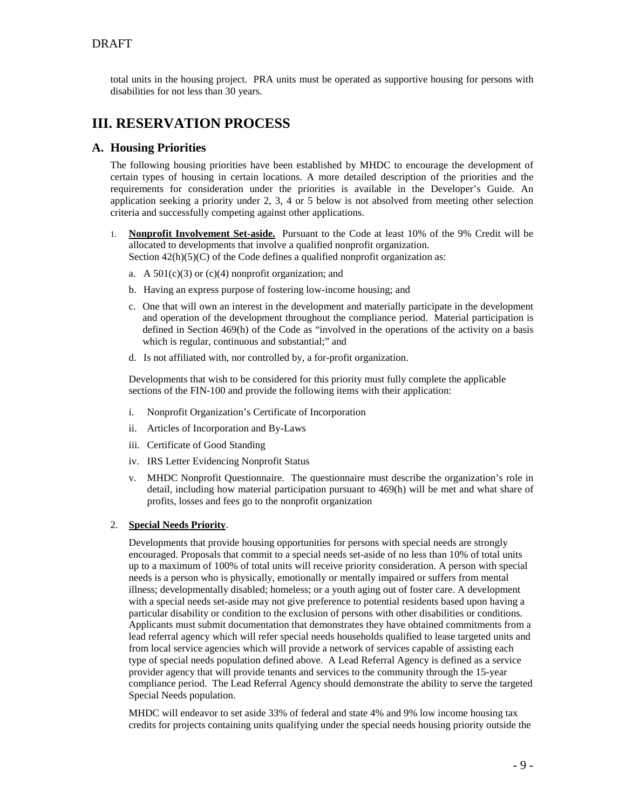## **DRAFT**

total units in the housing project. PRA units must be operated as supportive housing for persons with disabilities for not less than 30 years.

## **III. RESERVATION PROCESS**

### **A. Housing Priorities**

The following housing priorities have been established by MHDC to encourage the development of certain types of housing in certain locations. A more detailed description of the priorities and the requirements for consideration under the priorities is available in the Developer's Guide. An application seeking a priority under 2, 3, 4 or 5 below is not absolved from meeting other selection criteria and successfully competing against other applications.

- 1. **Nonprofit Involvement Set-aside.** Pursuant to the Code at least 10% of the 9% Credit will be allocated to developments that involve a qualified nonprofit organization. Section  $42(h)(5)(C)$  of the Code defines a qualified nonprofit organization as:
	- a. A  $501(c)(3)$  or  $(c)(4)$  nonprofit organization; and
	- b. Having an express purpose of fostering low-income housing; and
	- c. One that will own an interest in the development and materially participate in the development and operation of the development throughout the compliance period. Material participation is defined in Section 469(h) of the Code as "involved in the operations of the activity on a basis which is regular, continuous and substantial;" and
	- d. Is not affiliated with, nor controlled by, a for-profit organization.

Developments that wish to be considered for this priority must fully complete the applicable sections of the FIN-100 and provide the following items with their application:

- i. Nonprofit Organization's Certificate of Incorporation
- ii. Articles of Incorporation and By-Laws
- iii. Certificate of Good Standing
- iv. IRS Letter Evidencing Nonprofit Status
- v. MHDC Nonprofit Questionnaire. The questionnaire must describe the organization's role in detail, including how material participation pursuant to 469(h) will be met and what share of profits, losses and fees go to the nonprofit organization

#### 2. **Special Needs Priority**.

Developments that provide housing opportunities for persons with special needs are strongly encouraged. Proposals that commit to a special needs set-aside of no less than 10% of total units up to a maximum of 100% of total units will receive priority consideration. A person with special needs is a person who is physically, emotionally or mentally impaired or suffers from mental illness; developmentally disabled; homeless; or a youth aging out of foster care. A development with a special needs set-aside may not give preference to potential residents based upon having a particular disability or condition to the exclusion of persons with other disabilities or conditions. Applicants must submit documentation that demonstrates they have obtained commitments from a lead referral agency which will refer special needs households qualified to lease targeted units and from local service agencies which will provide a network of services capable of assisting each type of special needs population defined above. A Lead Referral Agency is defined as a service provider agency that will provide tenants and services to the community through the 15-year compliance period. The Lead Referral Agency should demonstrate the ability to serve the targeted Special Needs population.

MHDC will endeavor to set aside 33% of federal and state 4% and 9% low income housing tax credits for projects containing units qualifying under the special needs housing priority outside the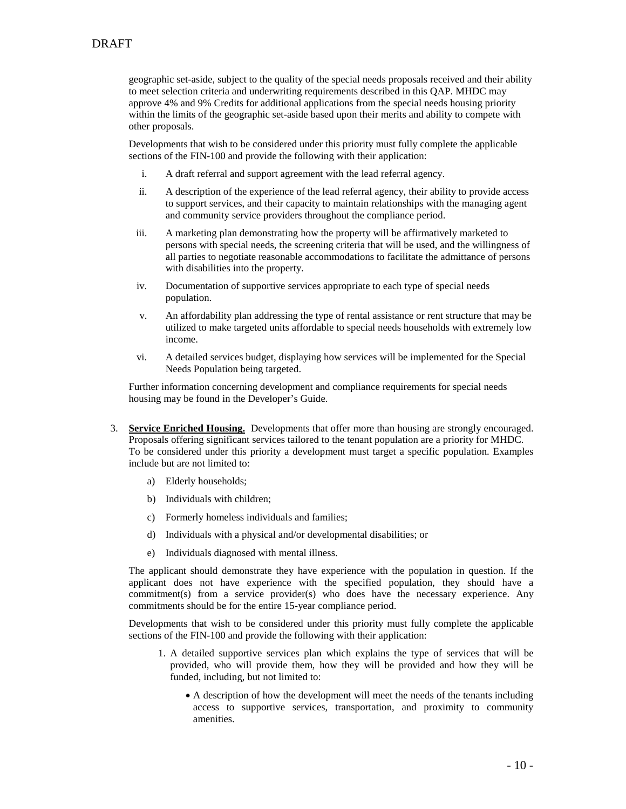geographic set-aside, subject to the quality of the special needs proposals received and their ability to meet selection criteria and underwriting requirements described in this QAP. MHDC may approve 4% and 9% Credits for additional applications from the special needs housing priority within the limits of the geographic set-aside based upon their merits and ability to compete with other proposals.

Developments that wish to be considered under this priority must fully complete the applicable sections of the FIN-100 and provide the following with their application:

- i. A draft referral and support agreement with the lead referral agency.
- ii. A description of the experience of the lead referral agency, their ability to provide access to support services, and their capacity to maintain relationships with the managing agent and community service providers throughout the compliance period.
- iii. A marketing plan demonstrating how the property will be affirmatively marketed to persons with special needs, the screening criteria that will be used, and the willingness of all parties to negotiate reasonable accommodations to facilitate the admittance of persons with disabilities into the property.
- iv. Documentation of supportive services appropriate to each type of special needs population.
- v. An affordability plan addressing the type of rental assistance or rent structure that may be utilized to make targeted units affordable to special needs households with extremely low income.
- vi. A detailed services budget, displaying how services will be implemented for the Special Needs Population being targeted.

Further information concerning development and compliance requirements for special needs housing may be found in the Developer's Guide.

- 3. **Service Enriched Housing.** Developments that offer more than housing are strongly encouraged. Proposals offering significant services tailored to the tenant population are a priority for MHDC. To be considered under this priority a development must target a specific population. Examples include but are not limited to:
	- a) Elderly households;
	- b) Individuals with children;
	- c) Formerly homeless individuals and families;
	- d) Individuals with a physical and/or developmental disabilities; or
	- e) Individuals diagnosed with mental illness.

The applicant should demonstrate they have experience with the population in question. If the applicant does not have experience with the specified population, they should have a commitment(s) from a service provider(s) who does have the necessary experience. Any commitments should be for the entire 15-year compliance period.

Developments that wish to be considered under this priority must fully complete the applicable sections of the FIN-100 and provide the following with their application:

- 1. A detailed supportive services plan which explains the type of services that will be provided, who will provide them, how they will be provided and how they will be funded, including, but not limited to:
	- A description of how the development will meet the needs of the tenants including access to supportive services, transportation, and proximity to community amenities.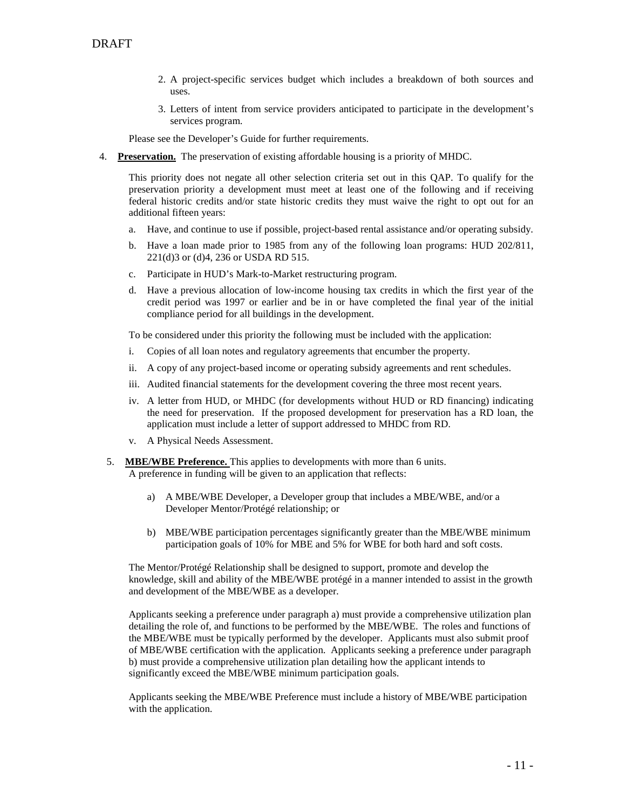- 2. A project-specific services budget which includes a breakdown of both sources and uses.
- 3. Letters of intent from service providers anticipated to participate in the development's services program.

Please see the Developer's Guide for further requirements.

4. **Preservation.** The preservation of existing affordable housing is a priority of MHDC.

This priority does not negate all other selection criteria set out in this QAP. To qualify for the preservation priority a development must meet at least one of the following and if receiving federal historic credits and/or state historic credits they must waive the right to opt out for an additional fifteen years:

- a. Have, and continue to use if possible, project-based rental assistance and/or operating subsidy.
- b. Have a loan made prior to 1985 from any of the following loan programs: HUD 202/811, 221(d)3 or (d)4, 236 or USDA RD 515.
- c. Participate in HUD's Mark-to-Market restructuring program.
- d. Have a previous allocation of low-income housing tax credits in which the first year of the credit period was 1997 or earlier and be in or have completed the final year of the initial compliance period for all buildings in the development.

To be considered under this priority the following must be included with the application:

- i. Copies of all loan notes and regulatory agreements that encumber the property.
- ii. A copy of any project-based income or operating subsidy agreements and rent schedules.
- iii. Audited financial statements for the development covering the three most recent years.
- iv. A letter from HUD, or MHDC (for developments without HUD or RD financing) indicating the need for preservation. If the proposed development for preservation has a RD loan, the application must include a letter of support addressed to MHDC from RD.
- v. A Physical Needs Assessment.
- 5. **MBE/WBE Preference.** This applies to developments with more than 6 units. A preference in funding will be given to an application that reflects:
	- a) A MBE/WBE Developer, a Developer group that includes a MBE/WBE, and/or a Developer Mentor/Protégé relationship; or
	- b) MBE/WBE participation percentages significantly greater than the MBE/WBE minimum participation goals of 10% for MBE and 5% for WBE for both hard and soft costs.

The Mentor/Protégé Relationship shall be designed to support, promote and develop the knowledge, skill and ability of the MBE/WBE protégé in a manner intended to assist in the growth and development of the MBE/WBE as a developer.

Applicants seeking a preference under paragraph a) must provide a comprehensive utilization plan detailing the role of, and functions to be performed by the MBE/WBE. The roles and functions of the MBE/WBE must be typically performed by the developer. Applicants must also submit proof of MBE/WBE certification with the application. Applicants seeking a preference under paragraph b) must provide a comprehensive utilization plan detailing how the applicant intends to significantly exceed the MBE/WBE minimum participation goals.

Applicants seeking the MBE/WBE Preference must include a history of MBE/WBE participation with the application.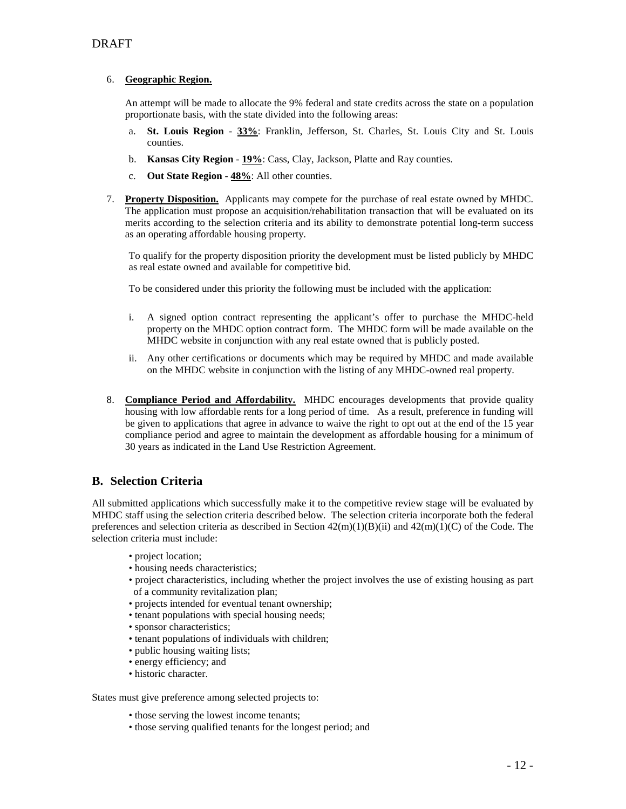## **DRAFT**

#### 6. **Geographic Region.**

An attempt will be made to allocate the 9% federal and state credits across the state on a population proportionate basis, with the state divided into the following areas:

- a. **St. Louis Region 33%**: Franklin, Jefferson, St. Charles, St. Louis City and St. Louis counties.
- b. **Kansas City Region 19%**: Cass, Clay, Jackson, Platte and Ray counties.
- c. **Out State Region 48%**: All other counties.
- 7. **Property Disposition.** Applicants may compete for the purchase of real estate owned by MHDC. The application must propose an acquisition/rehabilitation transaction that will be evaluated on its merits according to the selection criteria and its ability to demonstrate potential long-term success as an operating affordable housing property.

To qualify for the property disposition priority the development must be listed publicly by MHDC as real estate owned and available for competitive bid.

To be considered under this priority the following must be included with the application:

- i. A signed option contract representing the applicant's offer to purchase the MHDC-held property on the MHDC option contract form. The MHDC form will be made available on the MHDC website in conjunction with any real estate owned that is publicly posted.
- ii. Any other certifications or documents which may be required by MHDC and made available on the MHDC website in conjunction with the listing of any MHDC-owned real property.
- 8. **Compliance Period and Affordability.** MHDC encourages developments that provide quality housing with low affordable rents for a long period of time. As a result, preference in funding will be given to applications that agree in advance to waive the right to opt out at the end of the 15 year compliance period and agree to maintain the development as affordable housing for a minimum of 30 years as indicated in the Land Use Restriction Agreement.

## **B. Selection Criteria**

All submitted applications which successfully make it to the competitive review stage will be evaluated by MHDC staff using the selection criteria described below. The selection criteria incorporate both the federal preferences and selection criteria as described in Section  $42(m)(1)(B)(ii)$  and  $42(m)(1)(C)$  of the Code. The selection criteria must include:

- project location;
- housing needs characteristics;
- project characteristics, including whether the project involves the use of existing housing as part of a community revitalization plan;
- projects intended for eventual tenant ownership;
- tenant populations with special housing needs;
- sponsor characteristics;
- tenant populations of individuals with children;
- public housing waiting lists;
- energy efficiency; and
- historic character.

States must give preference among selected projects to:

- those serving the lowest income tenants;
- those serving qualified tenants for the longest period; and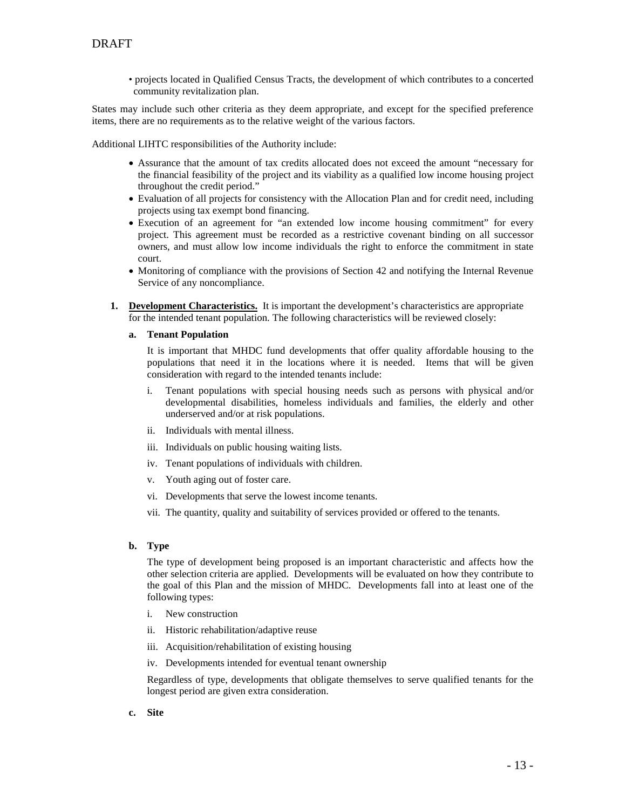• projects located in Qualified Census Tracts, the development of which contributes to a concerted community revitalization plan.

States may include such other criteria as they deem appropriate, and except for the specified preference items, there are no requirements as to the relative weight of the various factors.

Additional LIHTC responsibilities of the Authority include:

- Assurance that the amount of tax credits allocated does not exceed the amount "necessary for the financial feasibility of the project and its viability as a qualified low income housing project throughout the credit period."
- Evaluation of all projects for consistency with the Allocation Plan and for credit need, including projects using tax exempt bond financing.
- Execution of an agreement for "an extended low income housing commitment" for every project. This agreement must be recorded as a restrictive covenant binding on all successor owners, and must allow low income individuals the right to enforce the commitment in state court.
- Monitoring of compliance with the provisions of Section 42 and notifying the Internal Revenue Service of any noncompliance.
- **1. Development Characteristics.** It is important the development's characteristics are appropriate for the intended tenant population. The following characteristics will be reviewed closely:
	- **a. Tenant Population**

It is important that MHDC fund developments that offer quality affordable housing to the populations that need it in the locations where it is needed. Items that will be given consideration with regard to the intended tenants include:

- i. Tenant populations with special housing needs such as persons with physical and/or developmental disabilities, homeless individuals and families, the elderly and other underserved and/or at risk populations.
- ii. Individuals with mental illness.
- iii. Individuals on public housing waiting lists.
- iv. Tenant populations of individuals with children.
- v. Youth aging out of foster care.
- vi. Developments that serve the lowest income tenants.
- vii. The quantity, quality and suitability of services provided or offered to the tenants.

#### **b. Type**

The type of development being proposed is an important characteristic and affects how the other selection criteria are applied. Developments will be evaluated on how they contribute to the goal of this Plan and the mission of MHDC. Developments fall into at least one of the following types:

- i. New construction
- ii. Historic rehabilitation/adaptive reuse
- iii. Acquisition/rehabilitation of existing housing
- iv. Developments intended for eventual tenant ownership

Regardless of type, developments that obligate themselves to serve qualified tenants for the longest period are given extra consideration.

**c. Site**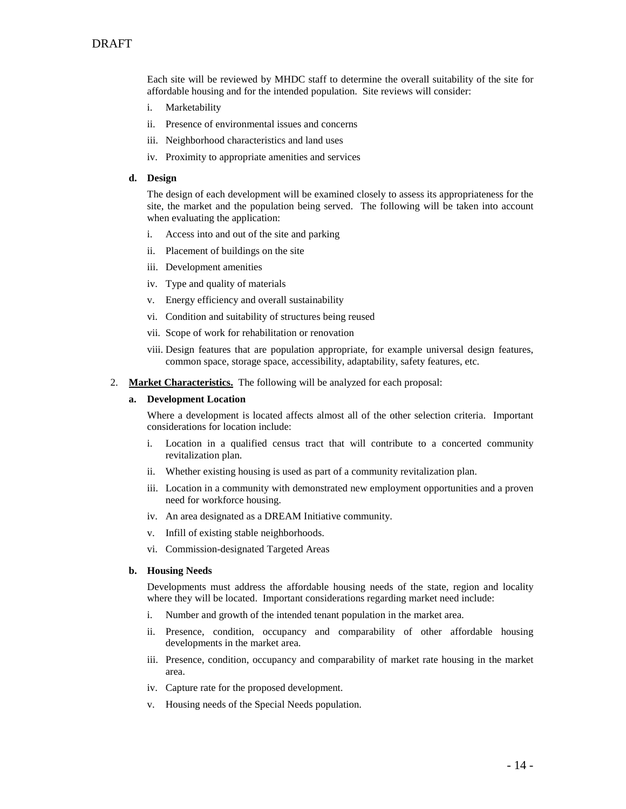Each site will be reviewed by MHDC staff to determine the overall suitability of the site for affordable housing and for the intended population. Site reviews will consider:

- i. Marketability
- ii. Presence of environmental issues and concerns
- iii. Neighborhood characteristics and land uses
- iv. Proximity to appropriate amenities and services

#### **d. Design**

The design of each development will be examined closely to assess its appropriateness for the site, the market and the population being served. The following will be taken into account when evaluating the application:

- i. Access into and out of the site and parking
- ii. Placement of buildings on the site
- iii. Development amenities
- iv. Type and quality of materials
- v. Energy efficiency and overall sustainability
- vi. Condition and suitability of structures being reused
- vii. Scope of work for rehabilitation or renovation
- viii. Design features that are population appropriate, for example universal design features, common space, storage space, accessibility, adaptability, safety features, etc.
- 2. **Market Characteristics.** The following will be analyzed for each proposal:

#### **a. Development Location**

Where a development is located affects almost all of the other selection criteria. Important considerations for location include:

- i. Location in a qualified census tract that will contribute to a concerted community revitalization plan.
- ii. Whether existing housing is used as part of a community revitalization plan.
- iii. Location in a community with demonstrated new employment opportunities and a proven need for workforce housing.
- iv. An area designated as a DREAM Initiative community.
- v. Infill of existing stable neighborhoods.
- vi. Commission-designated Targeted Areas

#### **b. Housing Needs**

Developments must address the affordable housing needs of the state, region and locality where they will be located. Important considerations regarding market need include:

- i. Number and growth of the intended tenant population in the market area.
- ii. Presence, condition, occupancy and comparability of other affordable housing developments in the market area.
- iii. Presence, condition, occupancy and comparability of market rate housing in the market area.
- iv. Capture rate for the proposed development.
- v. Housing needs of the Special Needs population.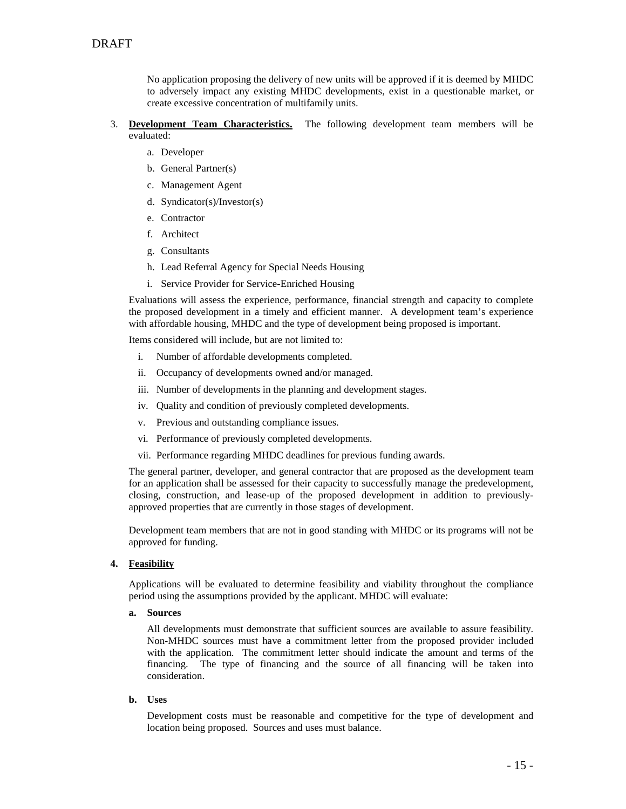No application proposing the delivery of new units will be approved if it is deemed by MHDC to adversely impact any existing MHDC developments, exist in a questionable market, or create excessive concentration of multifamily units.

#### 3. **Development Team Characteristics.** The following development team members will be evaluated:

- a. Developer
- b. General Partner(s)
- c. Management Agent
- d. Syndicator(s)/Investor(s)
- e. Contractor
- f. Architect
- g. Consultants
- h. Lead Referral Agency for Special Needs Housing
- i. Service Provider for Service-Enriched Housing

Evaluations will assess the experience, performance, financial strength and capacity to complete the proposed development in a timely and efficient manner. A development team's experience with affordable housing, MHDC and the type of development being proposed is important.

Items considered will include, but are not limited to:

- i. Number of affordable developments completed.
- ii. Occupancy of developments owned and/or managed.
- iii. Number of developments in the planning and development stages.
- iv. Quality and condition of previously completed developments.
- v. Previous and outstanding compliance issues.
- vi. Performance of previously completed developments.
- vii. Performance regarding MHDC deadlines for previous funding awards.

The general partner, developer, and general contractor that are proposed as the development team for an application shall be assessed for their capacity to successfully manage the predevelopment, closing, construction, and lease-up of the proposed development in addition to previouslyapproved properties that are currently in those stages of development.

Development team members that are not in good standing with MHDC or its programs will not be approved for funding.

#### **4. Feasibility**

Applications will be evaluated to determine feasibility and viability throughout the compliance period using the assumptions provided by the applicant. MHDC will evaluate:

#### **a. Sources**

All developments must demonstrate that sufficient sources are available to assure feasibility. Non-MHDC sources must have a commitment letter from the proposed provider included with the application. The commitment letter should indicate the amount and terms of the financing. The type of financing and the source of all financing will be taken into consideration.

#### **b. Uses**

Development costs must be reasonable and competitive for the type of development and location being proposed. Sources and uses must balance.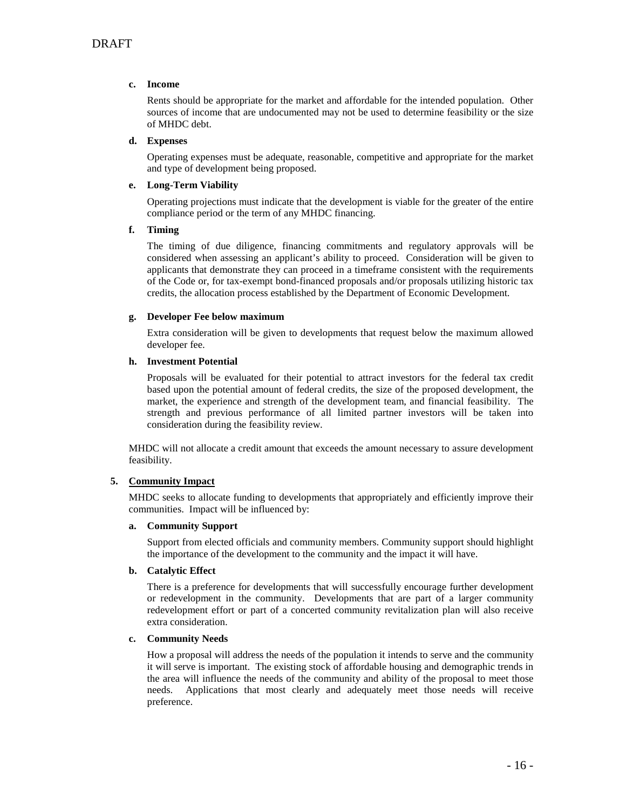#### **c. Income**

Rents should be appropriate for the market and affordable for the intended population. Other sources of income that are undocumented may not be used to determine feasibility or the size of MHDC debt.

#### **d. Expenses**

Operating expenses must be adequate, reasonable, competitive and appropriate for the market and type of development being proposed.

#### **e. Long-Term Viability**

Operating projections must indicate that the development is viable for the greater of the entire compliance period or the term of any MHDC financing.

#### **f. Timing**

The timing of due diligence, financing commitments and regulatory approvals will be considered when assessing an applicant's ability to proceed. Consideration will be given to applicants that demonstrate they can proceed in a timeframe consistent with the requirements of the Code or, for tax-exempt bond-financed proposals and/or proposals utilizing historic tax credits, the allocation process established by the Department of Economic Development.

#### **g. Developer Fee below maximum**

Extra consideration will be given to developments that request below the maximum allowed developer fee.

#### **h. Investment Potential**

Proposals will be evaluated for their potential to attract investors for the federal tax credit based upon the potential amount of federal credits, the size of the proposed development, the market, the experience and strength of the development team, and financial feasibility. The strength and previous performance of all limited partner investors will be taken into consideration during the feasibility review.

MHDC will not allocate a credit amount that exceeds the amount necessary to assure development feasibility.

#### **5. Community Impact**

MHDC seeks to allocate funding to developments that appropriately and efficiently improve their communities. Impact will be influenced by:

#### **a. Community Support**

Support from elected officials and community members. Community support should highlight the importance of the development to the community and the impact it will have.

#### **b. Catalytic Effect**

There is a preference for developments that will successfully encourage further development or redevelopment in the community. Developments that are part of a larger community redevelopment effort or part of a concerted community revitalization plan will also receive extra consideration.

#### **c. Community Needs**

How a proposal will address the needs of the population it intends to serve and the community it will serve is important. The existing stock of affordable housing and demographic trends in the area will influence the needs of the community and ability of the proposal to meet those needs. Applications that most clearly and adequately meet those needs will receive preference.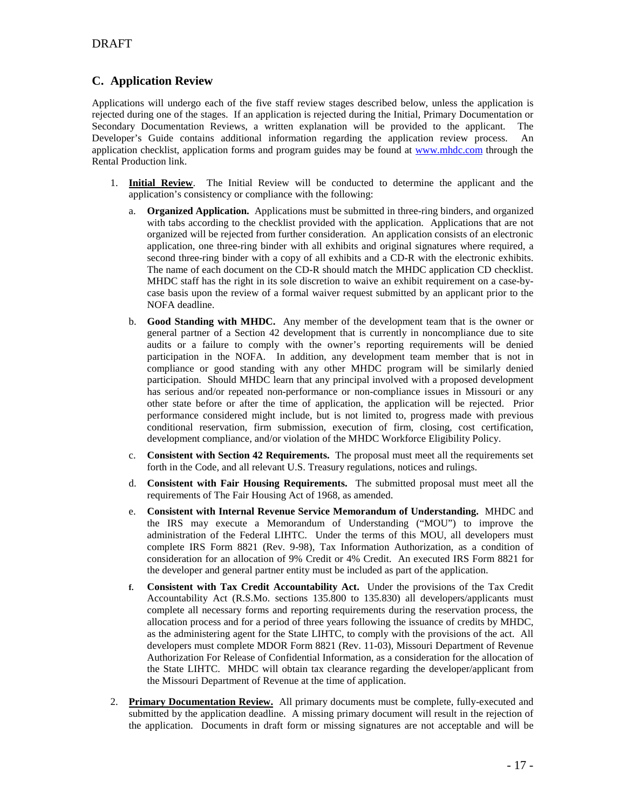## **C. Application Review**

Applications will undergo each of the five staff review stages described below, unless the application is rejected during one of the stages. If an application is rejected during the Initial, Primary Documentation or Secondary Documentation Reviews, a written explanation will be provided to the applicant. The Developer's Guide contains additional information regarding the application review process. An application checklist, application forms and program guides may be found at [www.mhdc.com](http://www.mhdc.com/) through the Rental Production link.

- 1. **Initial Review**. The Initial Review will be conducted to determine the applicant and the application's consistency or compliance with the following:
	- a. **Organized Application.** Applications must be submitted in three-ring binders, and organized with tabs according to the checklist provided with the application. Applications that are not organized will be rejected from further consideration. An application consists of an electronic application, one three-ring binder with all exhibits and original signatures where required, a second three-ring binder with a copy of all exhibits and a CD-R with the electronic exhibits. The name of each document on the CD-R should match the MHDC application CD checklist. MHDC staff has the right in its sole discretion to waive an exhibit requirement on a case-bycase basis upon the review of a formal waiver request submitted by an applicant prior to the NOFA deadline.
	- b. **Good Standing with MHDC.** Any member of the development team that is the owner or general partner of a Section 42 development that is currently in noncompliance due to site audits or a failure to comply with the owner's reporting requirements will be denied participation in the NOFA. In addition, any development team member that is not in compliance or good standing with any other MHDC program will be similarly denied participation. Should MHDC learn that any principal involved with a proposed development has serious and/or repeated non-performance or non-compliance issues in Missouri or any other state before or after the time of application, the application will be rejected. Prior performance considered might include, but is not limited to, progress made with previous conditional reservation, firm submission, execution of firm, closing, cost certification, development compliance, and/or violation of the MHDC Workforce Eligibility Policy.
	- c. **Consistent with Section 42 Requirements.** The proposal must meet all the requirements set forth in the Code, and all relevant U.S. Treasury regulations, notices and rulings.
	- d. **Consistent with Fair Housing Requirements.** The submitted proposal must meet all the requirements of The Fair Housing Act of 1968, as amended.
	- e. **Consistent with Internal Revenue Service Memorandum of Understanding.** MHDC and the IRS may execute a Memorandum of Understanding ("MOU") to improve the administration of the Federal LIHTC. Under the terms of this MOU, all developers must complete IRS Form 8821 (Rev. 9-98), Tax Information Authorization, as a condition of consideration for an allocation of 9% Credit or 4% Credit. An executed IRS Form 8821 for the developer and general partner entity must be included as part of the application.
	- **f. Consistent with Tax Credit Accountability Act.** Under the provisions of the Tax Credit Accountability Act (R.S.Mo. sections 135.800 to 135.830) all developers/applicants must complete all necessary forms and reporting requirements during the reservation process, the allocation process and for a period of three years following the issuance of credits by MHDC, as the administering agent for the State LIHTC, to comply with the provisions of the act. All developers must complete MDOR Form 8821 (Rev. 11-03), Missouri Department of Revenue Authorization For Release of Confidential Information, as a consideration for the allocation of the State LIHTC. MHDC will obtain tax clearance regarding the developer/applicant from the Missouri Department of Revenue at the time of application.
- 2. **Primary Documentation Review.** All primary documents must be complete, fully-executed and submitted by the application deadline. A missing primary document will result in the rejection of the application. Documents in draft form or missing signatures are not acceptable and will be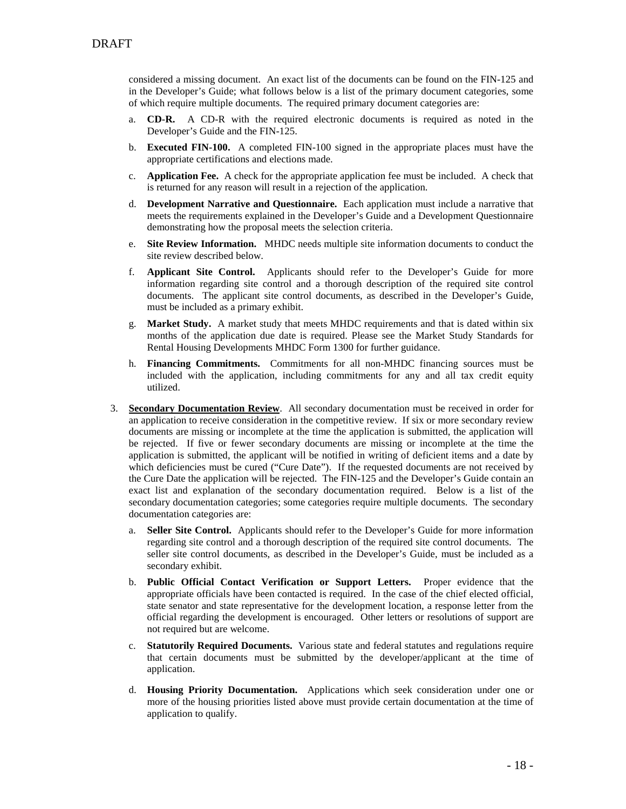considered a missing document. An exact list of the documents can be found on the FIN-125 and in the Developer's Guide; what follows below is a list of the primary document categories, some of which require multiple documents. The required primary document categories are:

- a. **CD-R.** A CD-R with the required electronic documents is required as noted in the Developer's Guide and the FIN-125.
- b. **Executed FIN-100.** A completed FIN-100 signed in the appropriate places must have the appropriate certifications and elections made.
- c. **Application Fee.** A check for the appropriate application fee must be included. A check that is returned for any reason will result in a rejection of the application.
- d. **Development Narrative and Questionnaire.** Each application must include a narrative that meets the requirements explained in the Developer's Guide and a Development Questionnaire demonstrating how the proposal meets the selection criteria.
- e. **Site Review Information.** MHDC needs multiple site information documents to conduct the site review described below.
- f. **Applicant Site Control.** Applicants should refer to the Developer's Guide for more information regarding site control and a thorough description of the required site control documents. The applicant site control documents, as described in the Developer's Guide, must be included as a primary exhibit.
- g. **Market Study.** A market study that meets MHDC requirements and that is dated within six months of the application due date is required. Please see the Market Study Standards for Rental Housing Developments MHDC Form 1300 for further guidance.
- h. **Financing Commitments.** Commitments for all non-MHDC financing sources must be included with the application, including commitments for any and all tax credit equity utilized.
- 3. **Secondary Documentation Review**. All secondary documentation must be received in order for an application to receive consideration in the competitive review. If six or more secondary review documents are missing or incomplete at the time the application is submitted, the application will be rejected. If five or fewer secondary documents are missing or incomplete at the time the application is submitted, the applicant will be notified in writing of deficient items and a date by which deficiencies must be cured ("Cure Date"). If the requested documents are not received by the Cure Date the application will be rejected. The FIN-125 and the Developer's Guide contain an exact list and explanation of the secondary documentation required. Below is a list of the secondary documentation categories; some categories require multiple documents. The secondary documentation categories are:
	- a. **Seller Site Control.** Applicants should refer to the Developer's Guide for more information regarding site control and a thorough description of the required site control documents. The seller site control documents, as described in the Developer's Guide, must be included as a secondary exhibit.
	- b. **Public Official Contact Verification or Support Letters.** Proper evidence that the appropriate officials have been contacted is required. In the case of the chief elected official, state senator and state representative for the development location, a response letter from the official regarding the development is encouraged. Other letters or resolutions of support are not required but are welcome.
	- c. **Statutorily Required Documents.** Various state and federal statutes and regulations require that certain documents must be submitted by the developer/applicant at the time of application.
	- d. **Housing Priority Documentation.** Applications which seek consideration under one or more of the housing priorities listed above must provide certain documentation at the time of application to qualify.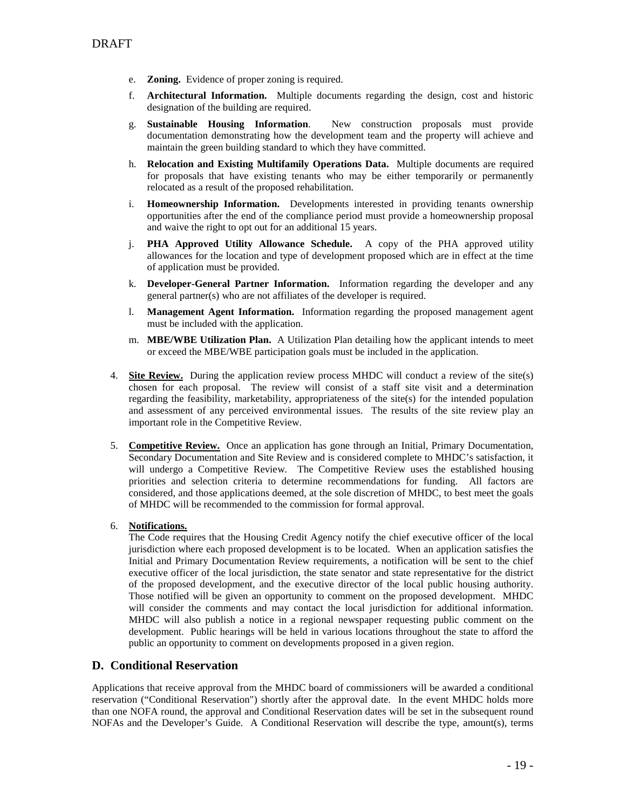- e. **Zoning.** Evidence of proper zoning is required.
- f. **Architectural Information.** Multiple documents regarding the design, cost and historic designation of the building are required.
- g. **Sustainable Housing Information**. New construction proposals must provide documentation demonstrating how the development team and the property will achieve and maintain the green building standard to which they have committed.
- h. **Relocation and Existing Multifamily Operations Data.** Multiple documents are required for proposals that have existing tenants who may be either temporarily or permanently relocated as a result of the proposed rehabilitation.
- i. **Homeownership Information.** Developments interested in providing tenants ownership opportunities after the end of the compliance period must provide a homeownership proposal and waive the right to opt out for an additional 15 years.
- j. **PHA Approved Utility Allowance Schedule.** A copy of the PHA approved utility allowances for the location and type of development proposed which are in effect at the time of application must be provided.
- k. **Developer-General Partner Information.** Information regarding the developer and any general partner(s) who are not affiliates of the developer is required.
- l. **Management Agent Information.** Information regarding the proposed management agent must be included with the application.
- m. **MBE/WBE Utilization Plan.** A Utilization Plan detailing how the applicant intends to meet or exceed the MBE/WBE participation goals must be included in the application.
- 4. **Site Review.** During the application review process MHDC will conduct a review of the site(s) chosen for each proposal. The review will consist of a staff site visit and a determination regarding the feasibility, marketability, appropriateness of the site(s) for the intended population and assessment of any perceived environmental issues. The results of the site review play an important role in the Competitive Review.
- 5. **Competitive Review.** Once an application has gone through an Initial, Primary Documentation, Secondary Documentation and Site Review and is considered complete to MHDC's satisfaction, it will undergo a Competitive Review. The Competitive Review uses the established housing priorities and selection criteria to determine recommendations for funding. All factors are considered, and those applications deemed, at the sole discretion of MHDC, to best meet the goals of MHDC will be recommended to the commission for formal approval.
- 6. **Notifications.**

The Code requires that the Housing Credit Agency notify the chief executive officer of the local jurisdiction where each proposed development is to be located. When an application satisfies the Initial and Primary Documentation Review requirements, a notification will be sent to the chief executive officer of the local jurisdiction, the state senator and state representative for the district of the proposed development, and the executive director of the local public housing authority. Those notified will be given an opportunity to comment on the proposed development. MHDC will consider the comments and may contact the local jurisdiction for additional information. MHDC will also publish a notice in a regional newspaper requesting public comment on the development. Public hearings will be held in various locations throughout the state to afford the public an opportunity to comment on developments proposed in a given region.

## **D. Conditional Reservation**

Applications that receive approval from the MHDC board of commissioners will be awarded a conditional reservation ("Conditional Reservation") shortly after the approval date. In the event MHDC holds more than one NOFA round, the approval and Conditional Reservation dates will be set in the subsequent round NOFAs and the Developer's Guide. A Conditional Reservation will describe the type, amount(s), terms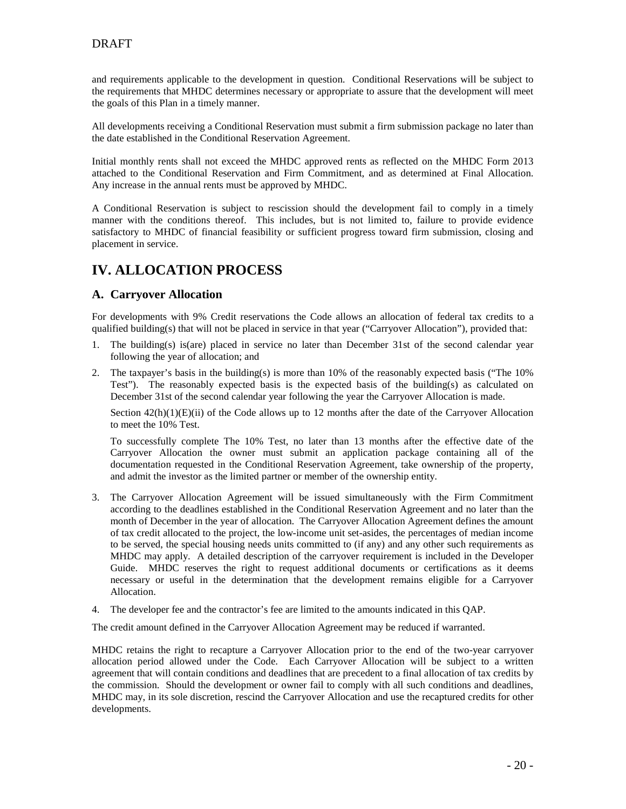and requirements applicable to the development in question. Conditional Reservations will be subject to the requirements that MHDC determines necessary or appropriate to assure that the development will meet the goals of this Plan in a timely manner.

All developments receiving a Conditional Reservation must submit a firm submission package no later than the date established in the Conditional Reservation Agreement.

Initial monthly rents shall not exceed the MHDC approved rents as reflected on the MHDC Form 2013 attached to the Conditional Reservation and Firm Commitment, and as determined at Final Allocation. Any increase in the annual rents must be approved by MHDC.

A Conditional Reservation is subject to rescission should the development fail to comply in a timely manner with the conditions thereof. This includes, but is not limited to, failure to provide evidence satisfactory to MHDC of financial feasibility or sufficient progress toward firm submission, closing and placement in service.

## **IV. ALLOCATION PROCESS**

## **A. Carryover Allocation**

For developments with 9% Credit reservations the Code allows an allocation of federal tax credits to a qualified building(s) that will not be placed in service in that year ("Carryover Allocation"), provided that:

- 1. The building(s) is(are) placed in service no later than December 31st of the second calendar year following the year of allocation; and
- 2. The taxpayer's basis in the building(s) is more than 10% of the reasonably expected basis ("The 10% Test"). The reasonably expected basis is the expected basis of the building(s) as calculated on December 31st of the second calendar year following the year the Carryover Allocation is made.

Section  $42(h)(1)(E)(ii)$  of the Code allows up to 12 months after the date of the Carryover Allocation to meet the 10% Test.

To successfully complete The 10% Test, no later than 13 months after the effective date of the Carryover Allocation the owner must submit an application package containing all of the documentation requested in the Conditional Reservation Agreement, take ownership of the property, and admit the investor as the limited partner or member of the ownership entity.

- 3. The Carryover Allocation Agreement will be issued simultaneously with the Firm Commitment according to the deadlines established in the Conditional Reservation Agreement and no later than the month of December in the year of allocation. The Carryover Allocation Agreement defines the amount of tax credit allocated to the project, the low-income unit set-asides, the percentages of median income to be served, the special housing needs units committed to (if any) and any other such requirements as MHDC may apply. A detailed description of the carryover requirement is included in the Developer Guide. MHDC reserves the right to request additional documents or certifications as it deems necessary or useful in the determination that the development remains eligible for a Carryover Allocation.
- 4. The developer fee and the contractor's fee are limited to the amounts indicated in this QAP.

The credit amount defined in the Carryover Allocation Agreement may be reduced if warranted.

MHDC retains the right to recapture a Carryover Allocation prior to the end of the two-year carryover allocation period allowed under the Code. Each Carryover Allocation will be subject to a written agreement that will contain conditions and deadlines that are precedent to a final allocation of tax credits by the commission. Should the development or owner fail to comply with all such conditions and deadlines, MHDC may, in its sole discretion, rescind the Carryover Allocation and use the recaptured credits for other developments.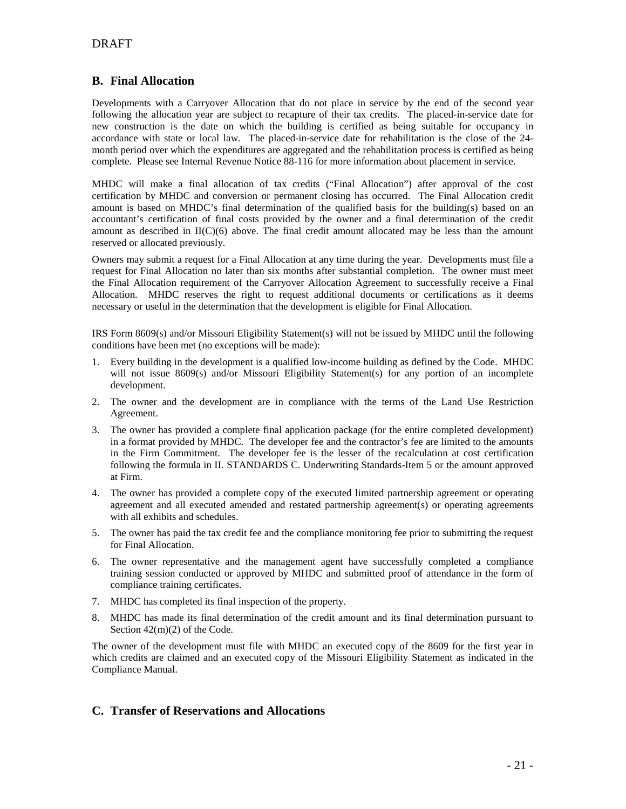## **B. Final Allocation**

Developments with a Carryover Allocation that do not place in service by the end of the second year following the allocation year are subject to recapture of their tax credits. The placed-in-service date for new construction is the date on which the building is certified as being suitable for occupancy in accordance with state or local law. The placed-in-service date for rehabilitation is the close of the 24 month period over which the expenditures are aggregated and the rehabilitation process is certified as being complete. Please see Internal Revenue Notice 88-116 for more information about placement in service.

MHDC will make a final allocation of tax credits ("Final Allocation") after approval of the cost certification by MHDC and conversion or permanent closing has occurred. The Final Allocation credit amount is based on MHDC's final determination of the qualified basis for the building(s) based on an accountant's certification of final costs provided by the owner and a final determination of the credit amount as described in II(C)(6) above. The final credit amount allocated may be less than the amount reserved or allocated previously.

Owners may submit a request for a Final Allocation at any time during the year. Developments must file a request for Final Allocation no later than six months after substantial completion. The owner must meet the Final Allocation requirement of the Carryover Allocation Agreement to successfully receive a Final Allocation. MHDC reserves the right to request additional documents or certifications as it deems necessary or useful in the determination that the development is eligible for Final Allocation.

IRS Form 8609(s) and/or Missouri Eligibility Statement(s) will not be issued by MHDC until the following conditions have been met (no exceptions will be made):

- 1. Every building in the development is a qualified low-income building as defined by the Code. MHDC will not issue 8609(s) and/or Missouri Eligibility Statement(s) for any portion of an incomplete development.
- 2. The owner and the development are in compliance with the terms of the Land Use Restriction Agreement.
- 3. The owner has provided a complete final application package (for the entire completed development) in a format provided by MHDC. The developer fee and the contractor's fee are limited to the amounts in the Firm Commitment. The developer fee is the lesser of the recalculation at cost certification following the formula in II. STANDARDS C. Underwriting Standards-Item 5 or the amount approved at Firm.
- 4. The owner has provided a complete copy of the executed limited partnership agreement or operating agreement and all executed amended and restated partnership agreement(s) or operating agreements with all exhibits and schedules.
- 5. The owner has paid the tax credit fee and the compliance monitoring fee prior to submitting the request for Final Allocation.
- 6. The owner representative and the management agent have successfully completed a compliance training session conducted or approved by MHDC and submitted proof of attendance in the form of compliance training certificates.
- 7. MHDC has completed its final inspection of the property.
- 8. MHDC has made its final determination of the credit amount and its final determination pursuant to Section 42(m)(2) of the Code.

The owner of the development must file with MHDC an executed copy of the 8609 for the first year in which credits are claimed and an executed copy of the Missouri Eligibility Statement as indicated in the Compliance Manual.

## **C. Transfer of Reservations and Allocations**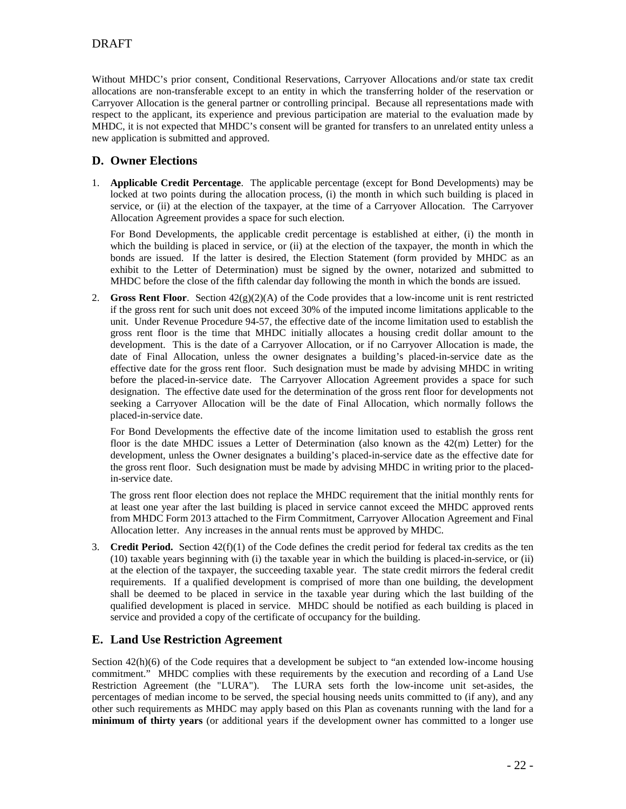Without MHDC's prior consent, Conditional Reservations, Carryover Allocations and/or state tax credit allocations are non-transferable except to an entity in which the transferring holder of the reservation or Carryover Allocation is the general partner or controlling principal. Because all representations made with respect to the applicant, its experience and previous participation are material to the evaluation made by MHDC, it is not expected that MHDC's consent will be granted for transfers to an unrelated entity unless a new application is submitted and approved.

## **D. Owner Elections**

1. **Applicable Credit Percentage**. The applicable percentage (except for Bond Developments) may be locked at two points during the allocation process, (i) the month in which such building is placed in service, or (ii) at the election of the taxpayer, at the time of a Carryover Allocation. The Carryover Allocation Agreement provides a space for such election.

For Bond Developments, the applicable credit percentage is established at either, (i) the month in which the building is placed in service, or (ii) at the election of the taxpayer, the month in which the bonds are issued. If the latter is desired, the Election Statement (form provided by MHDC as an exhibit to the Letter of Determination) must be signed by the owner, notarized and submitted to MHDC before the close of the fifth calendar day following the month in which the bonds are issued.

2. **Gross Rent Floor**. Section 42(g)(2)(A) of the Code provides that a low-income unit is rent restricted if the gross rent for such unit does not exceed 30% of the imputed income limitations applicable to the unit. Under Revenue Procedure 94-57, the effective date of the income limitation used to establish the gross rent floor is the time that MHDC initially allocates a housing credit dollar amount to the development. This is the date of a Carryover Allocation, or if no Carryover Allocation is made, the date of Final Allocation, unless the owner designates a building's placed-in-service date as the effective date for the gross rent floor. Such designation must be made by advising MHDC in writing before the placed-in-service date. The Carryover Allocation Agreement provides a space for such designation. The effective date used for the determination of the gross rent floor for developments not seeking a Carryover Allocation will be the date of Final Allocation, which normally follows the placed-in-service date.

For Bond Developments the effective date of the income limitation used to establish the gross rent floor is the date MHDC issues a Letter of Determination (also known as the 42(m) Letter) for the development, unless the Owner designates a building's placed-in-service date as the effective date for the gross rent floor. Such designation must be made by advising MHDC in writing prior to the placedin-service date.

The gross rent floor election does not replace the MHDC requirement that the initial monthly rents for at least one year after the last building is placed in service cannot exceed the MHDC approved rents from MHDC Form 2013 attached to the Firm Commitment, Carryover Allocation Agreement and Final Allocation letter. Any increases in the annual rents must be approved by MHDC.

3. **Credit Period.** Section  $42(f)(1)$  of the Code defines the credit period for federal tax credits as the ten (10) taxable years beginning with (i) the taxable year in which the building is placed-in-service, or (ii) at the election of the taxpayer, the succeeding taxable year. The state credit mirrors the federal credit requirements. If a qualified development is comprised of more than one building, the development shall be deemed to be placed in service in the taxable year during which the last building of the qualified development is placed in service. MHDC should be notified as each building is placed in service and provided a copy of the certificate of occupancy for the building.

## **E. Land Use Restriction Agreement**

Section  $42(h)(6)$  of the Code requires that a development be subject to "an extended low-income housing commitment." MHDC complies with these requirements by the execution and recording of a Land Use Restriction Agreement (the "LURA"). The LURA sets forth the low-income unit set-asides, the percentages of median income to be served, the special housing needs units committed to (if any), and any other such requirements as MHDC may apply based on this Plan as covenants running with the land for a **minimum of thirty years** (or additional years if the development owner has committed to a longer use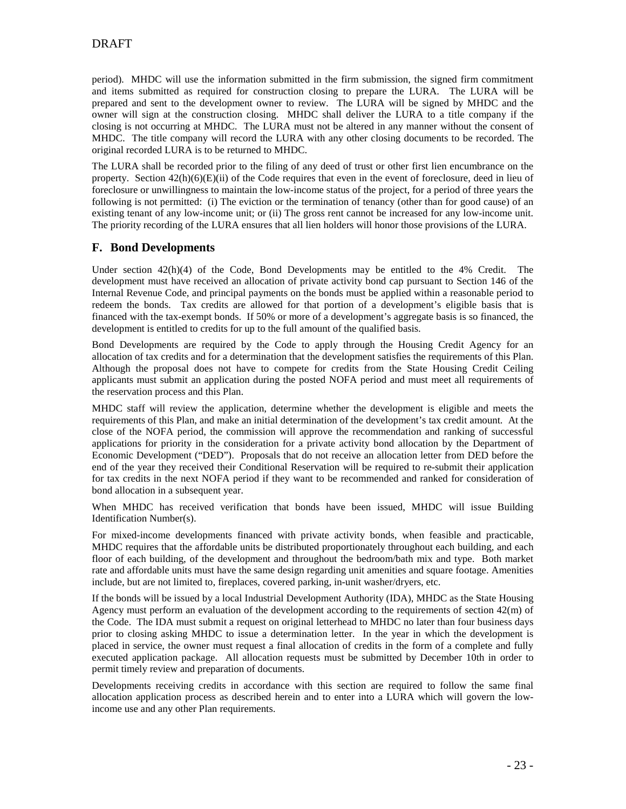period). MHDC will use the information submitted in the firm submission, the signed firm commitment and items submitted as required for construction closing to prepare the LURA. The LURA will be prepared and sent to the development owner to review. The LURA will be signed by MHDC and the owner will sign at the construction closing. MHDC shall deliver the LURA to a title company if the closing is not occurring at MHDC. The LURA must not be altered in any manner without the consent of MHDC. The title company will record the LURA with any other closing documents to be recorded. The original recorded LURA is to be returned to MHDC.

The LURA shall be recorded prior to the filing of any deed of trust or other first lien encumbrance on the property. Section  $42(h)(6)(E)(ii)$  of the Code requires that even in the event of foreclosure, deed in lieu of foreclosure or unwillingness to maintain the low-income status of the project, for a period of three years the following is not permitted: (i) The eviction or the termination of tenancy (other than for good cause) of an existing tenant of any low-income unit; or (ii) The gross rent cannot be increased for any low-income unit. The priority recording of the LURA ensures that all lien holders will honor those provisions of the LURA.

## **F. Bond Developments**

Under section 42(h)(4) of the Code, Bond Developments may be entitled to the 4% Credit. The development must have received an allocation of private activity bond cap pursuant to Section 146 of the Internal Revenue Code, and principal payments on the bonds must be applied within a reasonable period to redeem the bonds. Tax credits are allowed for that portion of a development's eligible basis that is financed with the tax-exempt bonds. If 50% or more of a development's aggregate basis is so financed, the development is entitled to credits for up to the full amount of the qualified basis.

Bond Developments are required by the Code to apply through the Housing Credit Agency for an allocation of tax credits and for a determination that the development satisfies the requirements of this Plan. Although the proposal does not have to compete for credits from the State Housing Credit Ceiling applicants must submit an application during the posted NOFA period and must meet all requirements of the reservation process and this Plan.

MHDC staff will review the application, determine whether the development is eligible and meets the requirements of this Plan, and make an initial determination of the development's tax credit amount. At the close of the NOFA period, the commission will approve the recommendation and ranking of successful applications for priority in the consideration for a private activity bond allocation by the Department of Economic Development ("DED"). Proposals that do not receive an allocation letter from DED before the end of the year they received their Conditional Reservation will be required to re-submit their application for tax credits in the next NOFA period if they want to be recommended and ranked for consideration of bond allocation in a subsequent year.

When MHDC has received verification that bonds have been issued, MHDC will issue Building Identification Number(s).

For mixed-income developments financed with private activity bonds, when feasible and practicable, MHDC requires that the affordable units be distributed proportionately throughout each building, and each floor of each building, of the development and throughout the bedroom/bath mix and type. Both market rate and affordable units must have the same design regarding unit amenities and square footage. Amenities include, but are not limited to, fireplaces, covered parking, in-unit washer/dryers, etc.

If the bonds will be issued by a local Industrial Development Authority (IDA), MHDC as the State Housing Agency must perform an evaluation of the development according to the requirements of section 42(m) of the Code. The IDA must submit a request on original letterhead to MHDC no later than four business days prior to closing asking MHDC to issue a determination letter. In the year in which the development is placed in service, the owner must request a final allocation of credits in the form of a complete and fully executed application package. All allocation requests must be submitted by December 10th in order to permit timely review and preparation of documents.

Developments receiving credits in accordance with this section are required to follow the same final allocation application process as described herein and to enter into a LURA which will govern the lowincome use and any other Plan requirements.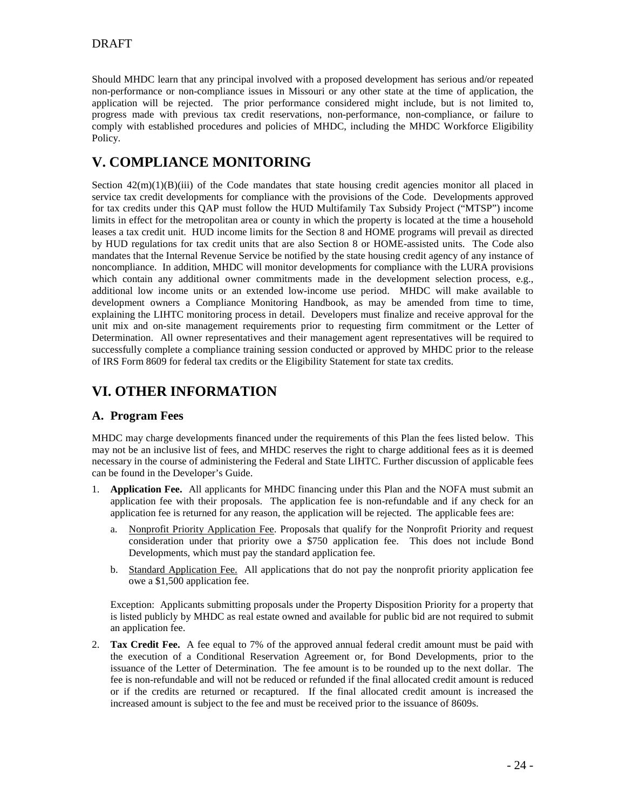Should MHDC learn that any principal involved with a proposed development has serious and/or repeated non-performance or non-compliance issues in Missouri or any other state at the time of application, the application will be rejected. The prior performance considered might include, but is not limited to, progress made with previous tax credit reservations, non-performance, non-compliance, or failure to comply with established procedures and policies of MHDC, including the MHDC Workforce Eligibility Policy.

## **V. COMPLIANCE MONITORING**

Section  $42(m)(1)(B)(iii)$  of the Code mandates that state housing credit agencies monitor all placed in service tax credit developments for compliance with the provisions of the Code. Developments approved for tax credits under this QAP must follow the HUD Multifamily Tax Subsidy Project ("MTSP") income limits in effect for the metropolitan area or county in which the property is located at the time a household leases a tax credit unit. HUD income limits for the Section 8 and HOME programs will prevail as directed by HUD regulations for tax credit units that are also Section 8 or HOME-assisted units. The Code also mandates that the Internal Revenue Service be notified by the state housing credit agency of any instance of noncompliance. In addition, MHDC will monitor developments for compliance with the LURA provisions which contain any additional owner commitments made in the development selection process, e.g., additional low income units or an extended low-income use period. MHDC will make available to development owners a Compliance Monitoring Handbook, as may be amended from time to time, explaining the LIHTC monitoring process in detail. Developers must finalize and receive approval for the unit mix and on-site management requirements prior to requesting firm commitment or the Letter of Determination. All owner representatives and their management agent representatives will be required to successfully complete a compliance training session conducted or approved by MHDC prior to the release of IRS Form 8609 for federal tax credits or the Eligibility Statement for state tax credits.

## **VI. OTHER INFORMATION**

## **A. Program Fees**

MHDC may charge developments financed under the requirements of this Plan the fees listed below. This may not be an inclusive list of fees, and MHDC reserves the right to charge additional fees as it is deemed necessary in the course of administering the Federal and State LIHTC. Further discussion of applicable fees can be found in the Developer's Guide.

- 1. **Application Fee.** All applicants for MHDC financing under this Plan and the NOFA must submit an application fee with their proposals. The application fee is non-refundable and if any check for an application fee is returned for any reason, the application will be rejected. The applicable fees are:
	- a. Nonprofit Priority Application Fee. Proposals that qualify for the Nonprofit Priority and request consideration under that priority owe a \$750 application fee. This does not include Bond Developments, which must pay the standard application fee.
	- b. Standard Application Fee. All applications that do not pay the nonprofit priority application fee owe a \$1,500 application fee.

Exception: Applicants submitting proposals under the Property Disposition Priority for a property that is listed publicly by MHDC as real estate owned and available for public bid are not required to submit an application fee.

2. **Tax Credit Fee.** A fee equal to 7% of the approved annual federal credit amount must be paid with the execution of a Conditional Reservation Agreement or, for Bond Developments, prior to the issuance of the Letter of Determination. The fee amount is to be rounded up to the next dollar. The fee is non-refundable and will not be reduced or refunded if the final allocated credit amount is reduced or if the credits are returned or recaptured. If the final allocated credit amount is increased the increased amount is subject to the fee and must be received prior to the issuance of 8609s.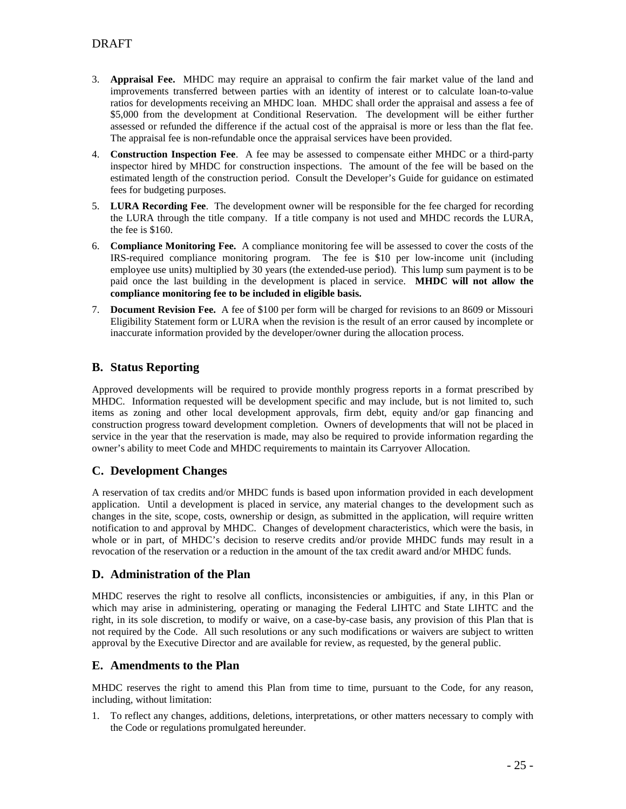- 3. **Appraisal Fee.** MHDC may require an appraisal to confirm the fair market value of the land and improvements transferred between parties with an identity of interest or to calculate loan-to-value ratios for developments receiving an MHDC loan. MHDC shall order the appraisal and assess a fee of \$5,000 from the development at Conditional Reservation. The development will be either further assessed or refunded the difference if the actual cost of the appraisal is more or less than the flat fee. The appraisal fee is non-refundable once the appraisal services have been provided.
- 4. **Construction Inspection Fee**. A fee may be assessed to compensate either MHDC or a third-party inspector hired by MHDC for construction inspections. The amount of the fee will be based on the estimated length of the construction period. Consult the Developer's Guide for guidance on estimated fees for budgeting purposes.
- 5. **LURA Recording Fee**. The development owner will be responsible for the fee charged for recording the LURA through the title company. If a title company is not used and MHDC records the LURA, the fee is \$160.
- 6. **Compliance Monitoring Fee.** A compliance monitoring fee will be assessed to cover the costs of the IRS-required compliance monitoring program. The fee is \$10 per low-income unit (including employee use units) multiplied by 30 years (the extended-use period). This lump sum payment is to be paid once the last building in the development is placed in service. **MHDC will not allow the compliance monitoring fee to be included in eligible basis.**
- 7. **Document Revision Fee.** A fee of \$100 per form will be charged for revisions to an 8609 or Missouri Eligibility Statement form or LURA when the revision is the result of an error caused by incomplete or inaccurate information provided by the developer/owner during the allocation process.

## **B. Status Reporting**

Approved developments will be required to provide monthly progress reports in a format prescribed by MHDC. Information requested will be development specific and may include, but is not limited to, such items as zoning and other local development approvals, firm debt, equity and/or gap financing and construction progress toward development completion. Owners of developments that will not be placed in service in the year that the reservation is made, may also be required to provide information regarding the owner's ability to meet Code and MHDC requirements to maintain its Carryover Allocation.

## **C. Development Changes**

A reservation of tax credits and/or MHDC funds is based upon information provided in each development application. Until a development is placed in service, any material changes to the development such as changes in the site, scope, costs, ownership or design, as submitted in the application, will require written notification to and approval by MHDC. Changes of development characteristics, which were the basis, in whole or in part, of MHDC's decision to reserve credits and/or provide MHDC funds may result in a revocation of the reservation or a reduction in the amount of the tax credit award and/or MHDC funds.

## **D. Administration of the Plan**

MHDC reserves the right to resolve all conflicts, inconsistencies or ambiguities, if any, in this Plan or which may arise in administering, operating or managing the Federal LIHTC and State LIHTC and the right, in its sole discretion, to modify or waive, on a case-by-case basis, any provision of this Plan that is not required by the Code. All such resolutions or any such modifications or waivers are subject to written approval by the Executive Director and are available for review, as requested, by the general public.

## **E. Amendments to the Plan**

MHDC reserves the right to amend this Plan from time to time, pursuant to the Code, for any reason, including, without limitation:

1. To reflect any changes, additions, deletions, interpretations, or other matters necessary to comply with the Code or regulations promulgated hereunder.